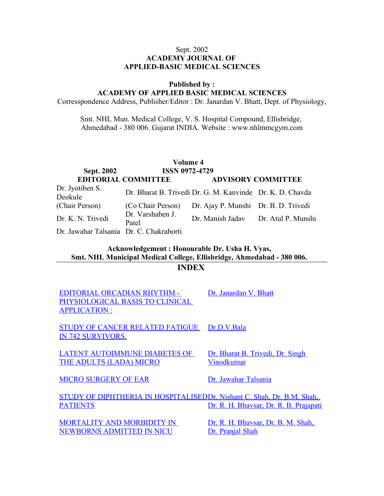### Sept. 2002 **ACADEMY JOURNAL OF APPLIED-BASIC MEDICAL SCIENCES**

**Published by :**

**ACADEMY OF APPLIED BASIC MEDICAL SCIENCES**

Corresspondence Address, Publisher/Editor : Dr. Janardan V. Bhatt, Dept. of Physiology,

Smt. NHL Mun. Medical College, V. S. Hospital Compound, Ellisbridge, Ahmedabad - 380 006. Gujarat INDIA. Website : www.nhlmmcgym.com

|                                         |                            | Volume 4                                                  |                           |
|-----------------------------------------|----------------------------|-----------------------------------------------------------|---------------------------|
| <b>Sept. 2002</b>                       | <b>ISSN 0972-4729</b>      |                                                           |                           |
|                                         | <b>EDITORIAL COMMITTEE</b> |                                                           | <b>ADVISORY COMMITTEE</b> |
| Dr. Jyotiben S.<br>Deokule              |                            | Dr. Bharat B. Trivedi Dr. G. M. Kanvinde Dr. K. D. Chavda |                           |
| (Chair Person)                          | (Co Chair Person)          | Dr. Ajay P. Munshi Dr. B. D. Trivedi                      |                           |
| Dr. K. N. Trivedi                       | Dr. Varshaben J.<br>Patel  | Dr. Manish Jadav Dr. Atul P. Munshi                       |                           |
| Dr. Jawahar Talsania Dr. C. Chakraborti |                            |                                                           |                           |

### **Acknowledgement : Honourable Dr. Usha H. Vyas, Smt. NHL Municipal Medical College, Ellisbridge, Ahmedabad - 380 006. INDEX**

[EDITORIAL ORCADIAN RHYTHM -](http://www.nhlmmc.edu.in/editorial-orcadian%20rhythm.htm) [PHYSIOLOGICAL BASIS TO CLINICAL](http://www.nhlmmc.edu.in/editorial-orcadian%20rhythm.htm) [APPLICATION :](http://www.nhlmmc.edu.in/editorial-orcadian%20rhythm.htm)

[Dr. Janardan V. Bhatt](http://www.nhlmmc.edu.in/editorial-orcadian%20rhythm.htm)

[STUDY OF CANCER RELATED FATIGUE](http://www.nhlmmc.edu.in/study-of-cancer.htm) [IN 742 SURVIVORS.](http://www.nhlmmc.edu.in/study-of-cancer.htm) [Dr.D.V.Bala](http://www.nhlmmc.edu.in/study-of-cancer.htm)

[LATENT AUTOIMMUNE DIABETES OF](http://www.nhlmmc.edu.in/latent-autoimmune.htm) [THE ADULTS \(LADA\) MICRO](http://www.nhlmmc.edu.in/latent-autoimmune.htm)

[Dr. Bharat B. Trivedi, Dr. Singh](http://www.nhlmmc.edu.in/latent-autoimmune.htm) [Vinodkumar](http://www.nhlmmc.edu.in/latent-autoimmune.htm)

[MICRO SURGERY OF EAR](http://www.nhlmmc.edu.in/microsurgery-ear.htm) [Dr. Jawahar Talsania](http://www.nhlmmc.edu.in/microsurgery-ear.htm)

[STUDY OF DIPHTHERIA IN HOSPITALISED](http://www.nhlmmc.edu.in/study-diphtheria.htm)Dr. Nishant C. Shah, Dr. B.M. Shah, **[PATIENTS](http://www.nhlmmc.edu.in/study-diphtheria.htm)** [Dr. R. H. Bhavsar, Dr. R. B. Prajapati](http://www.nhlmmc.edu.in/study-diphtheria.htm)

[MORTALITY AND MORBIDITY IN](http://www.nhlmmc.edu.in/mortality-morbidity.htm) [NEWBORNS ADMITTED IN NICU](http://www.nhlmmc.edu.in/mortality-morbidity.htm)

[Dr. R. H. Bhavsar, Dr. B. M. Shah,](http://www.nhlmmc.edu.in/mortality-morbidity.htm) [Dr. Pranjal Shah](http://www.nhlmmc.edu.in/mortality-morbidity.htm)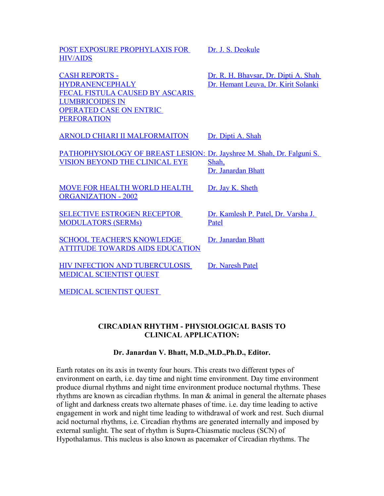[POST EXPOSURE PROPHYLAXIS FOR](http://www.nhlmmc.edu.in/post-exposure.htm) [HIV/AIDS](http://www.nhlmmc.edu.in/post-exposure.htm)

[CASH REPORTS -](http://www.nhlmmc.edu.in/cash-report.htm) **HYDRANENCEPHALY** [FECAL FISTULA CAUSED BY ASCARIS](http://www.nhlmmc.edu.in/cash-report.htm) LUMBRICOIDES IN OPERATED CASE ON ENTRIC [PERFORATION](http://www.nhlmmc.edu.in/cash-report.htm)

[PATHOPHYSIOLOGY OF BREAST LESION:](http://www.nhlmmc.edu.in/pathophysiology.htm) [Dr. Jayshree M. Shah, Dr. Falguni S.](http://www.nhlmmc.edu.in/pathophysiology.htm) [VISION BEYOND THE CLINICAL EYE](http://www.nhlmmc.edu.in/pathophysiology.htm) [Shah,](http://www.nhlmmc.edu.in/pathophysiology.htm)

[MOVE FOR HEALTH WORLD HEALTH](http://www.nhlmmc.edu.in/moveforhealth.htm) [ORGANIZATION - 2002](http://www.nhlmmc.edu.in/moveforhealth.htm)

[SELECTIVE ESTROGEN RECEPTOR](http://www.nhlmmc.edu.in/selective-estrogen.htm) [MODULATORS \(SERMs\)](http://www.nhlmmc.edu.in/selective-estrogen.htm)

[SCHOOL TEACHER'S KNOWLEDGE](http://www.nhlmmc.edu.in/school-teacher-knowledge.htm) [ATTITUDE TOWARDS AIDS EDUCATION](http://www.nhlmmc.edu.in/school-teacher-knowledge.htm)

[Dr. Naresh Patel](http://www.nhlmmc.edu.in/hiv-infection.htm)

[Dr. Janardan Bhatt](http://www.nhlmmc.edu.in/school-teacher-knowledge.htm)

[Patel](http://www.nhlmmc.edu.in/selective-estrogen.htm)

[Dr. Jay K. Sheth](http://www.nhlmmc.edu.in/moveforhealth.htm)

[HIV INFECTION AND TUBERCULOSIS](http://www.nhlmmc.edu.in/hiv-infection.htm) [MEDICAL SCIENTIST QUEST](http://www.nhlmmc.edu.in/hiv-infection.htm)

[MEDICAL SCIENTIST QUEST](http://www.nhlmmc.edu.in/medical-scientist.htm) 

## **CIRCADIAN RHYTHM - PHYSIOLOGICAL BASIS TO CLINICAL APPLICATION:**

## **Dr. Janardan V. Bhatt, M.D.,M.D.,Ph.D., Editor.**

Earth rotates on its axis in twenty four hours. This creats two different types of environment on earth, i.e. day time and night time environment. Day time environment produce diurnal rhythms and night time environment produce nocturnal rhythms. These rhythms are known as circadian rhythms. In man  $\&$  animal in general the alternate phases of light and darkness creats two alternate phases of time. i.e. day time leading to active engagement in work and night time leading to withdrawal of work and rest. Such diurnal acid nocturnal rhythms, i.e. Circadian rhythms are generated internally and imposed by external sunlight. The seat of rhythm is Supra-Chiasmatic nucleus (SCN) of Hypothalamus. This nucleus is also known as pacemaker of Circadian rhythms. The

[Dr. J. S. Deokule](http://www.nhlmmc.edu.in/post-exposure.htm)

[ARNOLD CHIARI II MALFORMAITON](http://www.nhlmmc.edu.in/arnol-chiari.htm) [Dr. Dipti A. Shah](http://www.nhlmmc.edu.in/arnol-chiari.htm)

[Dr. R. H. Bhavsar, Dr. Dipti A. Shah](http://www.nhlmmc.edu.in/cash-report.htm)  [Dr. Hemant Leuva, Dr. Kirit Solanki](http://www.nhlmmc.edu.in/cash-report.htm)

[Dr. Janardan Bhatt](http://www.nhlmmc.edu.in/pathophysiology.htm)

[Dr. Kamlesh P. Patel, Dr. Varsha J.](http://www.nhlmmc.edu.in/selective-estrogen.htm)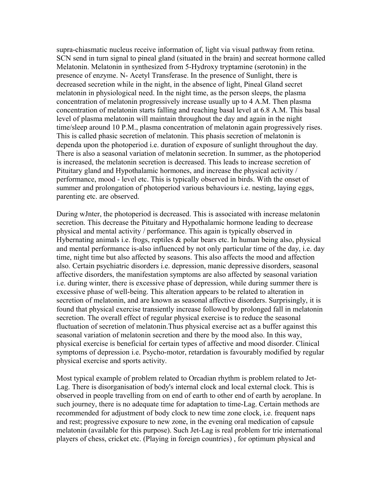supra-chiasmatic nucleus receive information of, light via visual pathway from retina. SCN send in turn signal to pineal gland (situated in the brain) and secreat hormone called Melatonin. Melatonin in synthesized from 5-Hydroxy tryptamine (serotonin) in the presence of enzyme. N- Acetyl Transferase. In the presence of Sunlight, there is decreased secretion while in the night, in the absence of light, Pineal Gland secret melatonin in physiological need. In the night time, as the person sleeps, the plasma concentration of melatonin progressively increase usually up to 4 A.M. Then plasma concentration of melatonin starts falling and reaching basal level at 6.8 A.M. This basal level of plasma melatonin will maintain throughout the day and again in the night time/sleep around 10 P.M., plasma concentration of melatonin again progressively rises. This is called phasic secretion of melatonin. This phasis secretion of melatonin is dependa upon the photoperiod i.e. duration of exposure of sunlight throughout the day. There is also a seasonal variation of melatonin secretion. In summer, as the photoperiod is increased, the melatonin secretion is decreased. This leads to increase secretion of Pituitary gland and Hypothalamic hormones, and increase the physical activity / performance, mood - level etc. This is typically observed in birds. With the onset of summer and prolongation of photoperiod various behaviours i.e. nesting, laying eggs, parenting etc. are observed.

During wJnter, the photoperiod is decreased. This is associated with increase melatonin secretion. This decrease the Pituitary and Hypothalamic hormone leading to decrease physical and mental activity / performance. This again is typically observed in Hybernating animals i.e. frogs, reptiles  $\&$  polar bears etc. In human being also, physical and mental performance is-also influenced by not only particular time of the day, i.e. day time, night time but also affected by seasons. This also affects the mood and affection also. Certain psychiatric disorders i.e. depression, manic depressive disorders, seasonal affective disorders, the manifestation symptoms are also affected by seasonal variation i.e. during winter, there is excessive phase of depression, while during summer there is excessive phase of well-being. This alteration appears to be related to alteration in secretion of melatonin, and are known as seasonal affective disorders. Surprisingly, it is found that physical exercise transiently increase followed by prolonged fall in melatonin secretion. The overall effect of regular physical exercise is to reduce the seasonal fluctuation of secretion of melatonin.Thus physical exercise act as a buffer against this seasonal variation of melatonin secretion and there by the mood also. In this way, physical exercise is beneficial for certain types of affective and mood disorder. Clinical symptoms of depression i.e. Psycho-motor, retardation is favourably modified by regular physical exercise and sports activity.

Most typical example of problem related to Orcadian rhythm is problem related to Jet-Lag. There is disorganisation of body's internal clock and local external clock. This is observed in people travelling from on end of earth to other end of earth by aeroplane. In such journey, there is no adequate time for adaptation to time-Lag. Certain methods are recommended for adjustment of body clock to new time zone clock, i.e. frequent naps and rest; progressive exposure to new zone, in the evening oral medication of capsule melatonin (available for this purpose). Such Jet-Lag is real problem for trie international players of chess, cricket etc. (Playing in foreign countries) , for optimum physical and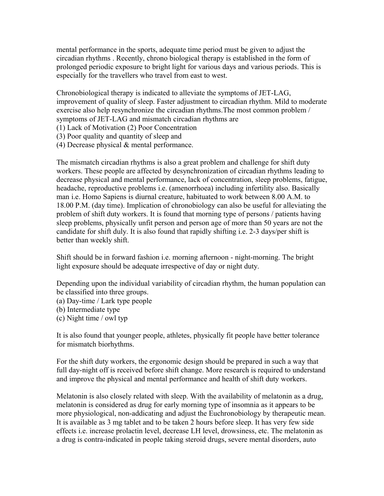mental performance in the sports, adequate time period must be given to adjust the circadian rhythms . Recently, chrono biological therapy is established in the form of prolonged periodic exposure to bright light for various days and various periods. This is especially for the travellers who travel from east to west.

Chronobiological therapy is indicated to alleviate the symptoms of JET-LAG, improvement of quality of sleep. Faster adjustment to circadian rhythm. Mild to moderate exercise also help resynchronize the circadian rhythms.The most common problem / symptoms of JET-LAG and mismatch circadian rhythms are

- (1) Lack of Motivation (2) Poor Concentration
- (3) Poor quality and quantity of sleep and
- (4) Decrease physical & mental performance.

The mismatch circadian rhythms is also a great problem and challenge for shift duty workers. These people are affected by desynchronization of circadian rhythms leading to decrease physical and mental performance, lack of concentration, sleep problems, fatigue, headache, reproductive problems i.e. (amenorrhoea) including infertility also. Basically man i.e. Homo Sapiens is diurnal creature, habituated to work between 8.00 A.M. to 18.00 P.M. (day time). Implication of chronobiology can also be useful for alleviating the problem of shift duty workers. It is found that morning type of persons / patients having sleep problems, physically unfit person and person age of more than 50 years are not the candidate for shift duly. It is also found that rapidly shifting i.e. 2-3 days/per shift is better than weekly shift.

Shift should be in forward fashion i.e. morning afternoon - night-morning. The bright light exposure should be adequate irrespective of day or night duty.

Depending upon the individual variability of circadian rhythm, the human population can be classified into three groups.

- (a) Day-time / Lark type people
- (b) Intermediate type
- (c) Night time / owl typ

It is also found that younger people, athletes, physically fit people have better tolerance for mismatch biorhythms.

For the shift duty workers, the ergonomic design should be prepared in such a way that full day-night off is received before shift change. More research is required to understand and improve the physical and mental performance and health of shift duty workers.

Melatonin is also closely related with sleep. With the availability of melatonin as a drug, melatonin is considered as drug for early morning type of insomnia as it appears to be more physiological, non-addicating and adjust the Euchronobiology by therapeutic mean. It is available as 3 mg tablet and to be taken 2 hours before sleep. It has very few side effects i.e. increase prolactin level, decrease LH level, drowsiness, etc. The melatonin as a drug is contra-indicated in people taking steroid drugs, severe mental disorders, auto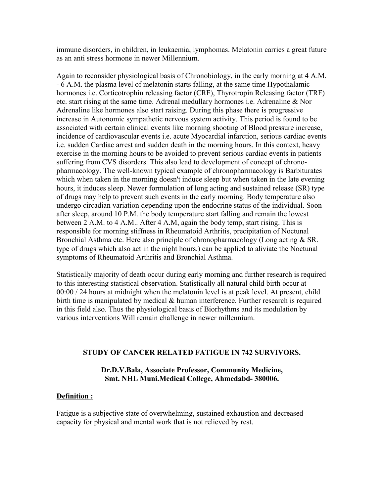immune disorders, in children, in leukaemia, lymphomas. Melatonin carries a great future as an anti stress hormone in newer Millennium.

Again to reconsider physiological basis of Chronobiology, in the early morning at 4 A.M. - 6 A.M. the plasma level of melatonin starts falling, at the same time Hypothalamic hormones i.e. Corticotrophin releasing factor (CRF), Thyrotropin Releasing factor (TRF) etc. start rising at the same time. Adrenal medullary hormones i.e. Adrenaline & Nor Adrenaline like hormones also start raising. During this phase there is progressive increase in Autonomic sympathetic nervous system activity. This period is found to be associated with certain clinical events like morning shooting of Blood pressure increase, incidence of cardiovascular events i.e. acute Myocardial infarction, serious cardiac events i.e. sudden Cardiac arrest and sudden death in the morning hours. In this context, heavy exercise in the morning hours to be avoided to prevent serious cardiac events in patients suffering from CVS disorders. This also lead to development of concept of chronopharmacology. The well-known typical example of chronopharmacology is Barbiturates which when taken in the morning doesn't induce sleep but when taken in the late evening hours, it induces sleep. Newer formulation of long acting and sustained release (SR) type of drugs may help to prevent such events in the early morning. Body temperature also undergo circadian variation depending upon the endocrine status of the individual. Soon after sleep, around 10 P.M. the body temperature start falling and remain the lowest between 2 A.M. to 4 A.M.. After 4 A.M, again the body temp, start rising. This is responsible for morning stiffness in Rheumatoid Arthritis, precipitation of Noctunal Bronchial Asthma etc. Here also principle of chronopharmacology (Long acting & SR. type of drugs which also act in the night hours.) can be applied to aliviate the Noctunal symptoms of Rheumatoid Arthritis and Bronchial Asthma.

Statistically majority of death occur during early morning and further research is required to this interesting statistical observation. Statistically all natural child birth occur at 00:00 / 24 hours at midnight when the melatonin level is at peak level. At present, child birth time is manipulated by medical & human interference. Further research is required in this field also. Thus the physiological basis of Biorhythms and its modulation by various interventions Will remain challenge in newer millennium.

#### **STUDY OF CANCER RELATED FATIGUE IN 742 SURVIVORS.**

#### **Dr.D.V.Bala, Associate Professor, Community Medicine, Smt. NHL Muni.Medical College, Ahmedabd- 380006.**

## **Definition :**

Fatigue is a subjective state of overwhelming, sustained exhaustion and decreased capacity for physical and mental work that is not relieved by rest.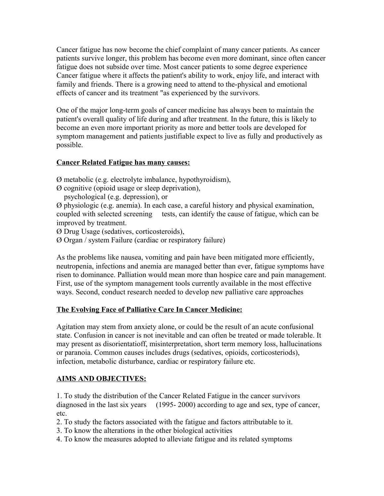Cancer fatigue has now become the chief complaint of many cancer patients. As cancer patients survive longer, this problem has become even more dominant, since often cancer fatigue does not subside over time. Most cancer patients to some degree experience Cancer fatigue where it affects the patient's ability to work, enjoy life, and interact with family and friends. There is a growing need to attend to the-physical and emotional effects of cancer and its treatment "as experienced by the survivors.

One of the major long-term goals of cancer medicine has always been to maintain the patient's overall quality of life during and after treatment. In the future, this is likely to become an even more important priority as more and better tools are developed for symptom management and patients justifiable expect to live as fully and productively as possible.

## **Cancer Related Fatigue has many causes:**

Ø metabolic (e.g. electrolyte imbalance, hypothyroidism),

- Ø cognitive (opioid usage or sleep deprivation),
	- psychological (e.g. depression), or

Ø physiologic (e.g. anemia). In each case, a careful history and physical examination, coupled with selected screening tests, can identify the cause of fatigue, which can be improved by treatment.

Ø Drug Usage (sedatives, corticosteroids),

Ø Organ / system Failure (cardiac or respiratory failure)

As the problems like nausea, vomiting and pain have been mitigated more efficiently, neutropenia, infections and anemia are managed better than ever, fatigue symptoms have risen to dominance. Palliation would mean more than hospice care and pain management. First, use of the symptom management tools currently available in the most effective ways. Second, conduct research needed to develop new palliative care approaches

## **The Evolving Face of Palliative Care In Cancer Medicine:**

Agitation may stem from anxiety alone, or could be the result of an acute confusional state. Confusion in cancer is not inevitable and can often be treated or made tolerable. It may present as disorientatioff, misinterpretation, short term memory loss, hallucinations or paranoia. Common causes includes drugs (sedatives, opioids, corticosteriods), infection, metabolic disturbance, cardiac or respiratory failure etc.

## **AIMS AND OBJECTIVES:**

1. To study the distribution of the Cancer Related Fatigue in the cancer survivors diagnosed in the last six years (1995- 2000) according to age and sex, type of cancer, etc.

2. To study the factors associated with the fatigue and factors attributable to it.

- 3. To know the alterations in the other biological activities
- 4. To know the measures adopted to alleviate fatigue and its related symptoms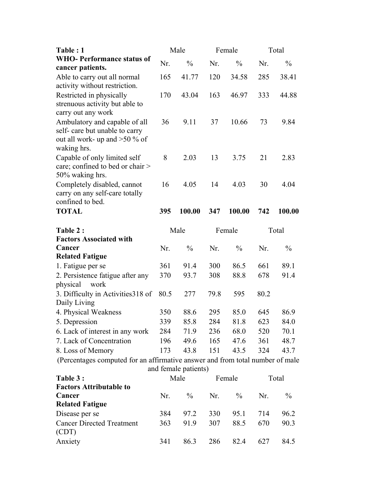| Table: 1                                                                      |      | Male                 |      | Female        |      | Total         |
|-------------------------------------------------------------------------------|------|----------------------|------|---------------|------|---------------|
| <b>WHO-Performance status of</b>                                              | Nr.  | $\frac{0}{0}$        | Nr.  | $\frac{0}{0}$ | Nr.  | $\frac{0}{0}$ |
| cancer patients.                                                              |      |                      |      |               |      |               |
| Able to carry out all normal                                                  | 165  | 41.77                | 120  | 34.58         | 285  | 38.41         |
| activity without restriction.                                                 |      |                      |      |               |      |               |
| Restricted in physically                                                      | 170  | 43.04                | 163  | 46.97         | 333  | 44.88         |
| strenuous activity but able to<br>carry out any work                          |      |                      |      |               |      |               |
| Ambulatory and capable of all                                                 | 36   | 9.11                 | 37   | 10.66         | 73   | 9.84          |
| self-care but unable to carry                                                 |      |                      |      |               |      |               |
| out all work- up and $>50$ % of                                               |      |                      |      |               |      |               |
| waking hrs.                                                                   |      |                      |      |               |      |               |
| Capable of only limited self                                                  | 8    | 2.03                 | 13   | 3.75          | 21   | 2.83          |
| care; confined to bed or chair >                                              |      |                      |      |               |      |               |
| 50% waking hrs.                                                               |      |                      |      |               |      |               |
| Completely disabled, cannot                                                   | 16   | 4.05                 | 14   | 4.03          | 30   | 4.04          |
| carry on any self-care totally                                                |      |                      |      |               |      |               |
| confined to bed.                                                              |      |                      |      |               |      |               |
| <b>TOTAL</b>                                                                  | 395  | 100.00               | 347  | 100.00        | 742  | 100.00        |
|                                                                               |      |                      |      |               |      |               |
|                                                                               |      | Male                 |      | Female        |      | Total         |
| <b>Factors Associated with</b>                                                |      |                      |      |               |      |               |
| Cancer                                                                        | Nr.  | $\frac{0}{0}$        | Nr.  | $\frac{0}{0}$ | Nr.  | $\frac{0}{0}$ |
|                                                                               |      |                      |      |               |      |               |
| Table 2:<br><b>Related Fatigue</b><br>1. Fatigue per se                       | 361  | 91.4                 | 300  | 86.5          | 661  | 89.1          |
| 2. Persistence fatigue after any                                              | 370  | 93.7                 | 308  | 88.8          | 678  | 91.4          |
| physical<br>work                                                              |      |                      |      |               |      |               |
| 3. Difficulty in Activities 318 of                                            | 80.5 | 277                  | 79.8 | 595           | 80.2 |               |
| Daily Living                                                                  |      |                      |      |               |      |               |
|                                                                               | 350  | 88.6                 | 295  | 85.0          | 645  | 86.9          |
| 5. Depression                                                                 | 339  | 85.8                 | 284  | 81.8          | 623  | 84.0          |
|                                                                               | 284  | 71.9                 | 236  | 68.0          | 520  | 70.1          |
| 7. Lack of Concentration                                                      | 196  | 49.6                 | 165  | 47.6          | 361  | 48.7          |
| 4. Physical Weakness<br>6. Lack of interest in any work<br>8. Loss of Memory  | 173  | 43.8                 | 151  | 43.5          | 324  | 43.7          |
| (Percentages computed for an affirmative answer and from total number of male |      | and female patients) |      |               |      |               |

| and ivinally patients? |      |     |        |     |       |  |
|------------------------|------|-----|--------|-----|-------|--|
|                        | Male |     | Female |     | Total |  |
|                        |      |     |        |     |       |  |
| Nr                     | $\%$ | Nr. | $\%$   | Nr. | $\%$  |  |
|                        |      |     |        |     |       |  |
| 384                    | 97 2 | 330 | 95 1   | 714 | 96.2  |  |
| 363                    | 919  | 307 | 88.5   | 670 | 90.3  |  |
| 341                    | 863  | 286 | 82.4   | 627 | 84 5  |  |
|                        |      |     |        |     |       |  |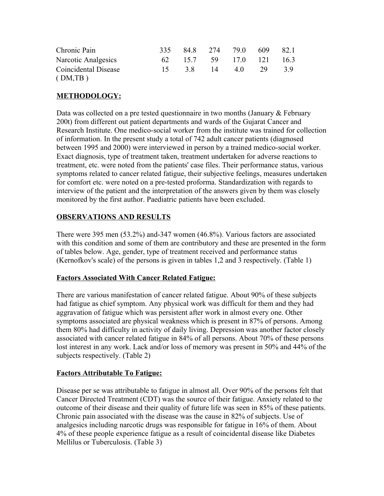| Chronic Pain         | 335             | 848 |       | 274 790          | -609 | 82.1 |
|----------------------|-----------------|-----|-------|------------------|------|------|
| Narcotic Analgesics  | 62.             |     |       | 15.7 59 17.0 121 |      | 163  |
| Coincidental Disease | $\overline{15}$ |     | 38 14 | 40               | - 29 | 3.9  |
| (DM, TB)             |                 |     |       |                  |      |      |

# **METHODOLOGY:**

Data was collected on a pre tested questionnaire in two months (January & February 200t) from different out patient departments and wards of the Gujarat Cancer and Research Institute. One medico-social worker from the institute was trained for collection of information. In the present study a total of 742 adult cancer patients (diagnosed between 1995 and 2000) were interviewed in person by a trained medico-social worker. Exact diagnosis, type of treatment taken, treatment undertaken for adverse reactions to treatment, etc. were noted from the patients' case files. Their performance status, various symptoms related to cancer related fatigue, their subjective feelings, measures undertaken for comfort etc. were noted on a pre-tested proforma. Standardization with regards to interview of the patient and the interpretation of the answers given by them was closely monitored by the first author. Paediatric patients have been excluded.

# **OBSERVATIONS AND RESULTS**

There were 395 men (53.2%) and-347 women (46.8%). Various factors are associated with this condition and some of them are contributory and these are presented in the form of tables below. Age, gender, type of treatment received and performance status (Kernofkov's scale) of the persons is given in tables 1,2 and 3 respectively. (Table 1)

# **Factors Associated With Cancer Related Fatigue:**

There are various manifestation of cancer related fatigue. About 90% of these subjects had fatigue as chief symptom. Any physical work was difficult for them and they had aggravation of fatigue which was persistent after work in almost every one. Other symptoms associated are physical weakness which is present in 87% of persons. Among them 80% had difficulty in activity of daily living. Depression was another factor closely associated with cancer related fatigue in 84% of all persons. About 70% of these persons lost interest in any work. Lack and/or loss of memory was present in 50% and 44% of the subjects respectively. (Table 2)

## **Factors Attributable To Fatigue:**

Disease per se was attributable to fatigue in almost all. Over 90% of the persons felt that Cancer Directed Treatment (CDT) was the source of their fatigue. Anxiety related to the outcome of their disease and their quality of future life was seen in 85% of these patients. Chronic pain associated with the disease was the cause in 82% of subjects. Use of analgesics including narcotic drugs was responsible for fatigue in 16% of them. About 4% of these people experience fatigue as a result of coincidental disease like Diabetes Mellilus or Tuberculosis. (Table 3)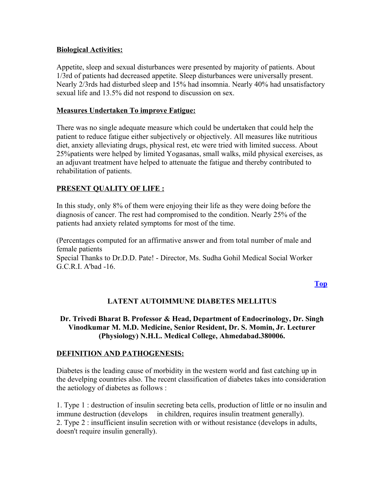## **Biological Activities:**

Appetite, sleep and sexual disturbances were presented by majority of patients. About 1/3rd of patients had decreased appetite. Sleep disturbances were universally present. Nearly 2/3rds had disturbed sleep and 15% had insomnia. Nearly 40% had unsatisfactory sexual life and 13.5% did not respond to discussion on sex.

## **Measures Undertaken To improve Fatigue:**

There was no single adequate measure which could be undertaken that could help the patient to reduce fatigue either subjectively or objectively. All measures like nutritious diet, anxiety alleviating drugs, physical rest, etc were tried with limited success. About 25%patients were helped by limited Yogasanas, small walks, mild physical exercises, as an adjuvant treatment have helped to attenuate the fatigue and thereby contributed to rehabilitation of patients.

## **PRESENT QUALITY OF LIFE :**

In this study, only 8% of them were enjoying their life as they were doing before the diagnosis of cancer. The rest had compromised to the condition. Nearly 25% of the patients had anxiety related symptoms for most of the time.

(Percentages computed for an affirmative answer and from total number of male and female patients Special Thanks to Dr.D.D. Pate! - Director, Ms. Sudha Gohil Medical Social Worker G.C.R.I. A'bad -16.

**[Top](http://www.nhlmmc.edu.in/study-of-cancer.htm)**

# **LATENT AUTOIMMUNE DIABETES MELLITUS**

## **Dr. Trivedi Bharat B. Professor & Head, Department of Endocrinology, Dr. Singh Vinodkumar M. M.D. Medicine, Senior Resident, Dr. S. Momin, Jr. Lecturer (Physiology) N.H.L. Medical College, Ahmedabad.380006.**

### **DEFINITION AND PATHOGENESIS:**

Diabetes is the leading cause of morbidity in the western world and fast catching up in the develping countries also. The recent classification of diabetes takes into consideration the aetiology of diabetes as follows :

1. Type 1 : destruction of insulin secreting beta cells, production of little or no insulin and immune destruction (develops in children, requires insulin treatment generally). 2. Type 2 : insufficient insulin secretion with or without resistance (develops in adults, doesn't require insulin generally).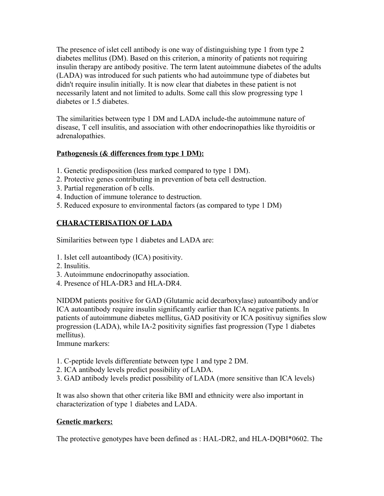The presence of islet cell antibody is one way of distinguishing type 1 from type 2 diabetes mellitus (DM). Based on this criterion, a minority of patients not requiring insulin therapy are antibody positive. The term latent autoimmune diabetes of the adults (LADA) was introduced for such patients who had autoimmune type of diabetes but didn't require insulin initially. It is now clear that diabetes in these patient is not necessarily latent and not limited to adults. Some call this slow progressing type 1 diabetes or 1.5 diabetes.

The similarities between type 1 DM and LADA include-the autoimmune nature of disease, T cell insulitis, and association with other endocrinopathies like thyroiditis or adrenalopathies.

## **Pathogenesis (& differences from type 1 DM):**

- 1. Genetic predisposition (less marked compared to type 1 DM).
- 2. Protective genes contributing in prevention of beta cell destruction.
- 3. Partial regeneration of b cells.
- 4. Induction of immune tolerance to destruction.
- 5. Reduced exposure to environmental factors (as compared to type 1 DM)

# **CHARACTERISATION OF LADA**

Similarities between type 1 diabetes and LADA are:

- 1. Islet cell autoantibody (ICA) positivity.
- 2. Insulitis.
- 3. Autoimmune endocrinopathy association.
- 4. Presence of HLA-DR3 and HLA-DR4.

NIDDM patients positive for GAD (Glutamic acid decarboxylase) autoantibody and/or ICA autoantibody require insulin significantly earlier than ICA negative patients. In patients of autoimmune diabetes mellitus, GAD positivity or ICA positivuy signifies slow progression (LADA), while IA-2 positivity signifies fast progression (Type 1 diabetes mellitus).

Immune markers:

- 1. C-peptide levels differentiate between type 1 and type 2 DM.
- 2. ICA antibody levels predict possibility of LADA.
- 3. GAD antibody levels predict possibility of LADA (more sensitive than ICA levels)

It was also shown that other criteria like BMI and ethnicity were also important in characterization of type 1 diabetes and LADA.

# **Genetic markers:**

The protective genotypes have been defined as : HAL-DR2, and HLA-DQBI\*0602. The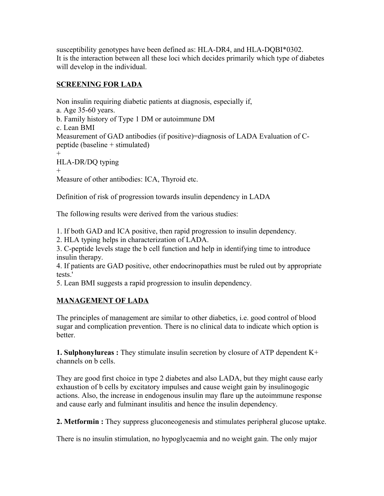susceptibility genotypes have been defined as: HLA-DR4, and HLA-DQBI\*0302. It is the interaction between all these loci which decides primarily which type of diabetes will develop in the individual.

# **SCREENING FOR LADA**

Non insulin requiring diabetic patients at diagnosis, especially if, a. Age 35-60 years. b. Family history of Type 1 DM or autoimmune DM c. Lean BMI Measurement of GAD antibodies (if positive)=diagnosis of LADA Evaluation of Cpeptide (baseline + stimulated) + HLA-DR/DQ typing

+

Measure of other antibodies: ICA, Thyroid etc.

Definition of risk of progression towards insulin dependency in LADA

The following results were derived from the various studies:

1. If both GAD and ICA positive, then rapid progression to insulin dependency.

2. HLA typing helps in characterization of LADA.

3. C-peptide levels stage the b cell function and help in identifying time to introduce insulin therapy.

4. If patients are GAD positive, other endocrinopathies must be ruled out by appropriate tests.'

5. Lean BMI suggests a rapid progression to insulin dependency.

# **MANAGEMENT OF LADA**

The principles of management are similar to other diabetics, i.e. good control of blood sugar and complication prevention. There is no clinical data to indicate which option is better.

**1. Sulphonylureas :** They stimulate insulin secretion by closure of ATP dependent K+ channels on b cells.

They are good first choice in type 2 diabetes and also LADA, but they might cause early exhaustion of b cells by excitatory impulses and cause weight gain by insulinogogic actions. Also, the increase in endogenous insulin may flare up the autoimmune response and cause early and fulminant insulitis and hence the insulin dependency.

**2. Metformin :** They suppress gluconeogenesis and stimulates peripheral glucose uptake.

There is no insulin stimulation, no hypoglycaemia and no weight gain. The only major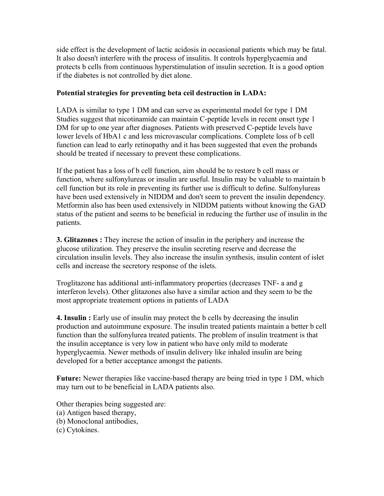side effect is the development of lactic acidosis in occasional patients which may be fatal. It also doesn't interfere with the process of insulitis. It controls hyperglycaemia and protects b cells from continuous hyperstimulation of insulin secretion. It is a good option if the diabetes is not controlled by diet alone.

## **Potential strategies for preventing beta ceil destruction in LADA:**

LADA is similar to type 1 DM and can serve as experimental model for type 1 DM Studies suggest that nicotinamide can maintain C-peptide levels in recent onset type 1 DM for up to one year after diagnoses. Patients with preserved C-peptide levels have lower levels of HbA1 c and less microvascular complications. Complete loss of b cell function can lead to early retinopathy and it has been suggested that even the probands should be treated if necessary to prevent these complications.

If the patient has a loss of b cell function, aim should be to restore b cell mass or function, where sulfonylureas or insulin are useful. Insulin may be valuable to maintain b cell function but its role in preventing its further use is difficult to define. Sulfonylureas have been used extensively in NIDDM and don't seem to prevent the insulin dependency. Metformin also has been used extensively in NIDDM patients without knowing the GAD status of the patient and seems to be beneficial in reducing the further use of insulin in the patients.

**3. Glitazones :** They increse the action of insulin in the periphery and increase the glucose utilization. They preserve the insulin secreting reserve and decrease the circulation insulin levels. They also increase the insulin synthesis, insulin content of islet cells and increase the secretory response of the islets.

Troglitazone has additional anti-inflammatory properties (decreases TNF- a and g interferon levels). Other glitazones also have a similar action and they seem to be the most appropriate treatement options in patients of LADA

**4. Insulin :** Early use of insulin may protect the b cells by decreasing the insulin production and autoimmune exposure. The insulin treated patients maintain a better b cell function than the sulfonylurea treated patients. The problem of insulin treatment is that the insulin acceptance is very low in patient who have only mild to moderate hyperglycaemia. Newer methods of insulin delivery like inhaled insulin are being developed for a better acceptance amongst the patients.

**Future:** Newer therapies like vaccine-based therapy are being tried in type 1 DM, which may turn out to be beneficial in LADA patients also.

Other therapies being suggested are: (a) Antigen based therapy, (b) Monoclonal antibodies, (c) Cytokines.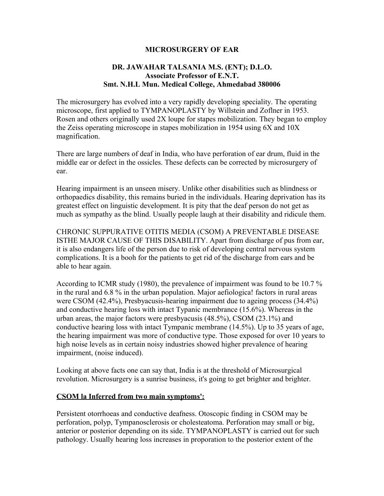### **MICROSURGERY OF EAR**

## **DR. JAWAHAR TALSANIA M.S. (ENT); D.L.O. Associate Professor of E.N.T. Smt. N.H.L Mun. Medical College, Ahmedabad 380006**

The microsurgery has evolved into a very rapidly developing speciality. The operating microscope, first applied to TYMPANOPLASTY by Willstein and Zoflner in 1953. Rosen and others originally used 2X loupe for stapes mobilization. They began to employ the Zeiss operating microscope in stapes mobilization in 1954 using 6X and 10X magnification.

There are large numbers of deaf in India, who have perforation of ear drum, fluid in the middle ear or defect in the ossicles. These defects can be corrected by microsurgery of ear.

Hearing impairment is an unseen misery. Unlike other disabilities such as blindness or orthopaedics disability, this remains buried in the individuals. Hearing deprivation has its greatest effect on linguistic development. It is pity that the deaf person do not get as much as sympathy as the blind. Usually people laugh at their disability and ridicule them.

CHRONIC SUPPURATIVE OTITIS MEDIA (CSOM) A PREVENTABLE DISEASE ISTHE MAJOR CAUSE OF THIS DISABILITY. Apart from discharge of pus from ear, it is also endangers life of the person due to risk of developing central nervous system complications. It is a booh for the patients to get rid of the discharge from ears and be able to hear again.

According to ICMR study (1980), the prevalence of impairment was found to be 10.7 % in the rural and 6.8 % in the urban population. Major aefiologica! factors in rural areas were CSOM (42.4%), Presbyacusis-hearing impairment due to ageing process (34.4%) and conductive hearing loss with intact Typanic membrance (15.6%). Whereas in the urban areas, the major factors were presbyacusis (48.5%), CSOM (23.1%) and conductive hearing loss with intact Tympanic membrane (14.5%). Up to 35 years of age, the hearing impairment was more of conductive type. Those exposed for over 10 years to high noise levels as in certain noisy industries showed higher prevalence of hearing impairment, (noise induced).

Looking at above facts one can say that, India is at the threshold of Microsurgical revolution. Microsurgery is a sunrise business, it's going to get brighter and brighter.

#### **CSOM la Inferred from two main symptoms':**

Persistent otorrhoeas and conductive deafness. Otoscopic finding in CSOM may be perforation, polyp, Tympanosclerosis or cholesteatoma. Perforation may small or big, anterior or posterior depending on its side. TYMPANOPLASTY is carried out for such pathology. Usually hearing loss increases in proporation to the posterior extent of the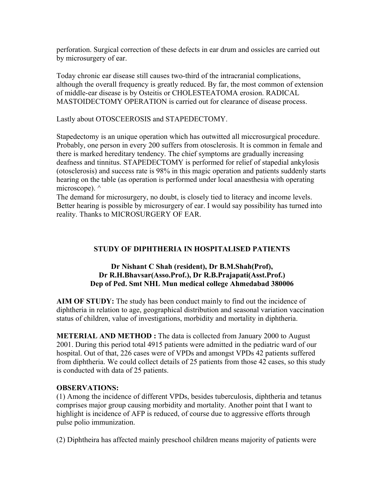perforation. Surgical correction of these defects in ear drum and ossicles are carried out by microsurgery of ear.

Today chronic ear disease still causes two-third of the intracranial complications, although the overall frequency is greatly reduced. By far, the most common of extension of middle-ear disease is by Osteitis or CHOLESTEATOMA erosion. RADICAL MASTOIDECTOMY OPERATION is carried out for clearance of disease process.

Lastly about OTOSCEEROSIS and STAPEDECTOMY.

Stapedectomy is an unique operation which has outwitted all miccrosurgical procedure. Probably, one person in every 200 suffers from otosclerosis. It is common in female and there is marked hereditary tendency. The chief symptoms are gradually increasing deafness and tinnitus. STAPEDECTOMY is performed for relief of stapedial ankylosis (otosclerosis) and success rate is 98% in this magic operation and patients suddenly starts hearing on the table (as operation is performed under local anaesthesia with operating microscope).  $\wedge$ 

The demand for microsurgery, no doubt, is closely tied to literacy and income levels. Better hearing is possible by microsurgery of ear. I would say possibility has turned into reality. Thanks to MICROSURGERY OF EAR.

## **STUDY OF DIPHTHERIA IN HOSPITALISED PATIENTS**

### **Dr Nishant C Shah (resident), Dr B.M.Shah(Prof), Dr R.H.Bhavsar(Asso.Prof.), Dr R.B.Prajapati(Asst.Prof.) Dep of Ped. Smt NHL Mun medical college Ahmedabad 380006**

**AIM OF STUDY:** The study has been conduct mainly to find out the incidence of diphtheria in relation to age, geographical distribution and seasonal variation vaccination status of children, value of investigations, morbidity and mortality in diphtheria.

**METERIAL AND METHOD :** The data is collected from January 2000 to August 2001. During this period total 4915 patients were admitted in the pediatric ward of our hospital. Out of that, 226 cases were of VPDs and amongst VPDs 42 patients suffered from diphtheria. We could collect details of 25 patients from those 42 cases, so this study is conducted with data of 25 patients.

### **OBSERVATIONS:**

(1) Among the incidence of different VPDs, besides tuberculosis, diphtheria and tetanus comprises major group causing morbidity and mortality. Another point that I want to highlight is incidence of AFP is reduced, of course due to aggressive efforts through pulse polio immunization.

(2) Diphtheira has affected mainly preschool children means majority of patients were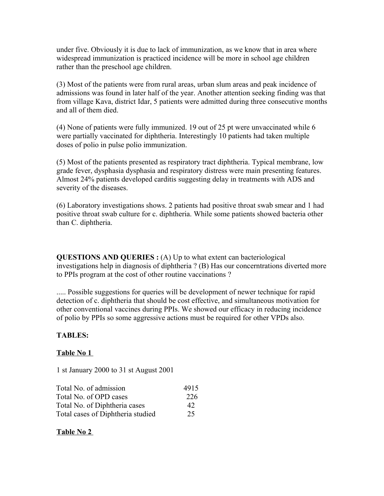under five. Obviously it is due to lack of immunization, as we know that in area where widespread immunization is practiced incidence will be more in school age children rather than the preschool age children.

(3) Most of the patients were from rural areas, urban slum areas and peak incidence of admissions was found in later half of the year. Another attention seeking finding was that from village Kava, district Idar, 5 patients were admitted during three consecutive months and all of them died.

(4) None of patients were fully immunized. 19 out of 25 pt were unvaccinated while 6 were partially vaccinated for diphtheria. Interestingly 10 patients had taken multiple doses of polio in pulse polio immunization.

(5) Most of the patients presented as respiratory tract diphtheria. Typical membrane, low grade fever, dysphasia dysphasia and respiratory distress were main presenting features. Almost 24% patients developed carditis suggesting delay in treatments with ADS and severity of the diseases.

(6) Laboratory investigations shows. 2 patients had positive throat swab smear and 1 had positive throat swab culture for c. diphtheria. While some patients showed bacteria other than C. diphtheria.

**QUESTIONS AND QUERIES :** (A) Up to what extent can bacteriological investigations help in diagnosis of diphtheria ? (B) Has our concerntrations diverted more to PPIs program at the cost of other routine vaccinations ?

..... Possible suggestions for queries will be development of newer technique for rapid detection of c. diphtheria that should be cost effective, and simultaneous motivation for other conventional vaccines during PPIs. We showed our efficacy in reducing incidence of polio by PPIs so some aggressive actions must be required for other VPDs also.

## **TABLES:**

### **Table No 1**

1 st January 2000 to 31 st August 2001

| Total No. of admission            | 4915 |
|-----------------------------------|------|
| Total No. of OPD cases            | 226  |
| Total No. of Diphtheria cases     | 42   |
| Total cases of Diphtheria studied | 25   |

## **Table No 2**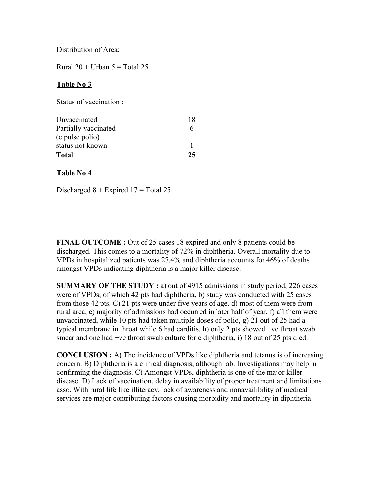Distribution of Area:

Rural  $20 +$  Urban  $5 =$  Total 25

### **Table No 3**

Status of vaccination :

| Unvaccinated         | 18 |
|----------------------|----|
| Partially vaccinated | h  |
| (c pulse polio)      |    |
| status not known     |    |
| <b>Total</b>         | 25 |

#### **Table No 4**

Discharged  $8 +$  Expired  $17 =$  Total 25

**FINAL OUTCOME :** Out of 25 cases 18 expired and only 8 patients could be discharged. This comes to a mortality of 72% in diphtheria. Overall mortality due to VPDs in hospitalized patients was 27.4% and diphtheria accounts for 46% of deaths amongst VPDs indicating diphtheria is a major killer disease.

**SUMMARY OF THE STUDY:** a) out of 4915 admissions in study period, 226 cases were of VPDs, of which 42 pts had diphtheria, b) study was conducted with 25 cases from those 42 pts. C) 21 pts were under five years of age. d) most of them were from rural area, e) majority of admissions had occurred in later half of year, f) all them were unvaccinated, while 10 pts had taken multiple doses of polio, g) 21 out of 25 had a typical membrane in throat while 6 had carditis. h) only 2 pts showed +ve throat swab smear and one had +ve throat swab culture for c diphtheria, i) 18 out of 25 pts died.

**CONCLUSION :** A) The incidence of VPDs like diphtheria and tetanus is of increasing concern. B) Diphtheria is a clinical diagnosis, although lab. Investigations may help in confirming the diagnosis. C) Amongst VPDs, diphtheria is one of the major killer disease. D) Lack of vaccination, delay in availability of proper treatment and limitations asso. With rural life like illiteracy, lack of awareness and nonavailibility of medical services are major contributing factors causing morbidity and mortality in diphtheria.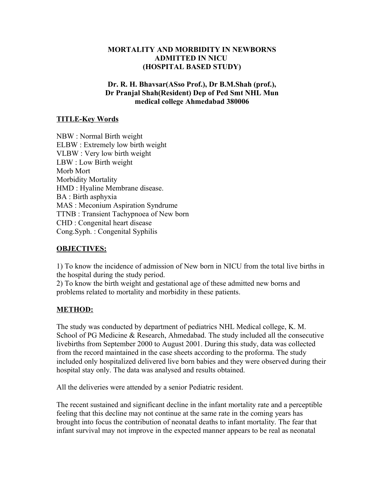## **MORTALITY AND MORBIDITY IN NEWBORNS ADMITTED IN NICU (HOSPITAL BASED STUDY)**

## **Dr. R. H. Bhavsar(ASso Prof.), Dr B.M.Shah (prof.), Dr Pranjal Shah(Resident) Dep of Ped Smt NHL Mun medical college Ahmedabad 380006**

### **TITLE-Key Words**

NBW : Normal Birth weight ELBW : Extremely low birth weight VLBW : Very low birth weight LBW : Low Birth weight Morb Mort Morbidity Mortality HMD : Hyaline Membrane disease. BA : Birth asphyxia MAS : Meconium Aspiration Syndrume TTNB : Transient Tachypnoea of New born CHD : Congenital heart disease Cong.Syph. : Congenital Syphilis

### **OBJECTIVES:**

1) To know the incidence of admission of New born in NICU from the total live births in the hospital during the study period.

2) To know the birth weight and gestational age of these admitted new borns and problems related to mortality and morbidity in these patients.

### **METHOD:**

The study was conducted by department of pediatrics NHL Medical college, K. M. School of PG Medicine & Research, Ahmedabad. The study included all the consecutive livebirths from September 2000 to August 2001. During this study, data was collected from the record maintained in the case sheets according to the proforma. The study included only hospitalized delivered live born babies and they were observed during their hospital stay only. The data was analysed and results obtained.

All the deliveries were attended by a senior Pediatric resident.

The recent sustained and significant decline in the infant mortality rate and a perceptible feeling that this decline may not continue at the same rate in the coming years has brought into focus the contribution of neonatal deaths to infant mortality. The fear that infant survival may not improve in the expected manner appears to be real as neonatal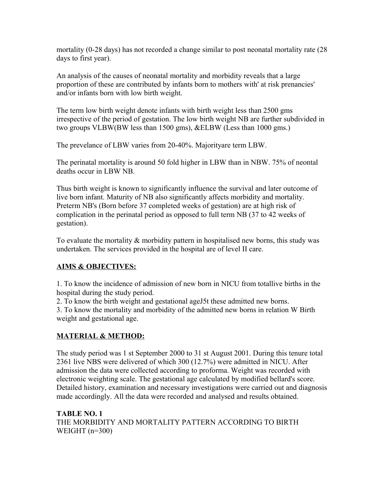mortality (0-28 days) has not recorded a change similar to post neonatal mortality rate (28 days to first year).

An analysis of the causes of neonatal mortality and morbidity reveals that a large proportion of these are contributed by infants born to mothers with' at risk prenancies' and/or infants born with low birth weight.

The term low birth weight denote infants with birth weight less than 2500 gms irrespective of the period of gestation. The low birth weight NB are further subdivided in two groups VLBW(BW less than 1500 gms), &ELBW (Less than 1000 gms.)

The prevelance of LBW varies from 20-40%. Majorityare term LBW.

The perinatal mortality is around 50 fold higher in LBW than in NBW. 75% of neontal deaths occur in LBW NB.

Thus birth weight is known to significantly influence the survival and later outcome of live born infant. Maturity of NB also significantly affects morbidity and mortality. Preterm NB's (Born before 37 completed weeks of gestation) are at high risk of complication in the perinatal period as opposed to full term NB (37 to 42 weeks of gestation).

To evaluate the mortality  $\&$  morbidity pattern in hospitalised new borns, this study was undertaken. The services provided in the hospital are of level II care.

# **AIMS & OBJECTIVES:**

1. To know the incidence of admission of new born in NICU from totallive births in the hospital during the study period.

2. To know the birth weight and gestational ageJ5t these admitted new borns.

3. To know the mortality and morbidity of the admitted new borns in relation W Birth weight and gestational age.

# **MATERIAL & METHOD:**

The study period was 1 st September 2000 to 31 st August 2001. During this tenure total 2361 live NBS were delivered of which 300 (12.7%) were admitted in NICU. After admission the data were collected according to proforma. Weight was recorded with electronic weighting scale. The gestational age calculated by modified bellard's score. Detailed history, examination and necessary investigations were carried out and diagnosis made accordingly. All the data were recorded and analysed and results obtained.

**TABLE NO. 1** THE MORBIDITY AND MORTALITY PATTERN ACCORDING TO BIRTH WEIGHT  $(n=300)$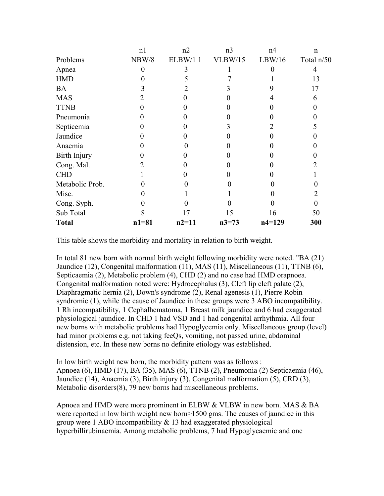|                 | n <sub>1</sub> | n2      | n <sub>3</sub> | n <sub>4</sub> | $\mathbf n$ |
|-----------------|----------------|---------|----------------|----------------|-------------|
| Problems        | NBW/8          | ELBW/11 | <b>VLBW/15</b> | LBW/16         | Total n/50  |
| Apnea           | 0              |         |                |                | 4           |
| <b>HMD</b>      |                |         |                |                | 13          |
| <b>BA</b>       |                |         |                |                | 17          |
| <b>MAS</b>      |                |         |                |                | 6           |
| <b>TTNB</b>     |                |         |                |                |             |
| Pneumonia       |                |         |                |                |             |
| Septicemia      |                |         |                |                |             |
| Jaundice        |                |         |                |                |             |
| Anaemia         |                |         |                |                |             |
| Birth Injury    |                |         |                |                |             |
| Cong. Mal.      |                |         |                |                |             |
| <b>CHD</b>      |                |         |                |                |             |
| Metabolic Prob. |                |         |                |                |             |
| Misc.           |                |         |                |                |             |
| Cong. Syph.     |                |         |                |                | 0           |
| Sub Total       |                | 17      | 15             | 16             | 50          |
| <b>Total</b>    | $n1 = 81$      | $n2=11$ | $n3=73$        | $n4=129$       | 300         |

This table shows the morbidity and mortality in relation to birth weight.

In total 81 new born with normal birth weight following morbidity were noted. "BA (21) Jaundice (12), Congenital malformation (11), MAS (11), Miscellaneous (11), TTNB (6), Septicaemia (2), Metabolic problem (4), CHD (2) and no case had HMD orapnoea. Congenital malformation noted were: Hydrocephalus (3), Cleft lip cleft palate (2), Diaphragmatic hernia (2), Down's syndrome (2), Renal agenesis (1), Pierre Robin syndromic (1), while the cause of Jaundice in these groups were 3 ABO incompatibility. 1 Rh incompatibility, 1 Cephalhematoma, 1 Breast milk jaundice and 6 had exaggerated physiological jaundice. In CHD 1 had VSD and 1 had congenital arrhythmia. All four new borns with metabolic problems had Hypoglycemia only. Miscellaneous group (level) had minor problems e.g. not taking feeOs, vomiting, not passed urine, abdominal distension, etc. In these new borns no definite etiology was established.

In low birth weight new born, the morbidity pattern was as follows : Apnoea (6), HMD (17), BA (35), MAS (6), TTNB (2), Pneumonia (2) Septicaemia (46), Jaundice (14), Anaemia (3), Birth injury (3), Congenital malformation (5), CRD (3), Metabolic disorders(8), 79 new borns had miscellaneous problems.

Apnoea and HMD were more prominent in ELBW & VLBW in new born. MAS & BA were reported in low birth weight new born>1500 gms. The causes of jaundice in this group were 1 ABO incompatibility  $& 13$  had exaggerated physiological hyperbillirubinaemia. Among metabolic problems, 7 had Hypoglycaemic and one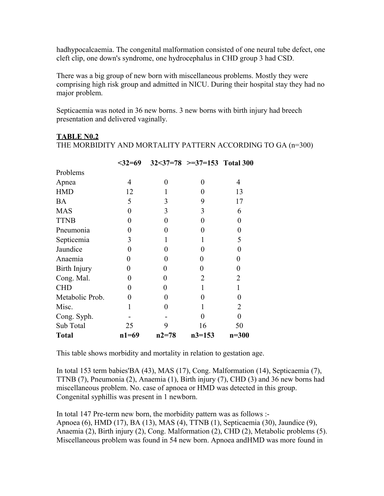hadhypocalcaemia. The congenital malformation consisted of one neural tube defect, one cleft clip, one down's syndrome, one hydrocephalus in CHD group 3 had CSD.

There was a big group of new born with miscellaneous problems. Mostly they were comprising high risk group and admitted in NICU. During their hospital stay they had no major problem.

Septicaemia was noted in 36 new borns. 3 new borns with birth injury had breech presentation and delivered vaginally.

THE MORBIDITY AND MORTALITY PATTERN ACCORDING TO GA (n=300)

|                 | $32=69$  |           | $32<37=78$ >=37=153 Total 300 |                |
|-----------------|----------|-----------|-------------------------------|----------------|
| Problems        |          |           |                               |                |
| Apnea           | 4        | 0         | 0                             | 4              |
| <b>HMD</b>      | 12       |           | 0                             | 13             |
| <b>BA</b>       | 5        | 3         | 9                             | 17             |
| <b>MAS</b>      | 0        | 3         | 3                             | 6              |
| <b>TTNB</b>     | 0        | 0         | 0                             | 0              |
| Pneumonia       | 0        | 0         | 0                             | 0              |
| Septicemia      | 3        | 1         | 1                             | 5              |
| Jaundice        | 0        | 0         | $\theta$                      | 0              |
| Anaemia         | $\Omega$ | 0         | 0                             | $\overline{0}$ |
| Birth Injury    | $\Omega$ | $\theta$  | 0                             | 0              |
| Cong. Mal.      | 0        | 0         | $\overline{2}$                | $\overline{2}$ |
| <b>CHD</b>      | 0        | $\Omega$  |                               | 1              |
| Metabolic Prob. | 0        | $\Omega$  | $\mathbf{\Omega}$             | 0              |
| Misc.           |          | $\Omega$  |                               | 2              |
| Cong. Syph.     |          |           | 0                             | 0              |
| Sub Total       | 25       | 9         | 16                            | 50             |
| <b>Total</b>    | $n1=69$  | $n2 = 78$ | $n3=153$                      | $n = 300$      |

**TABLE N0.2**

This table shows morbidity and mortality in relation to gestation age.

In total 153 term babies'BA (43), MAS (17), Cong. Malformation (14), Septicaemia (7), TTNB (7), Pneumonia (2), Anaemia (1), Birth injury (7), CHD (3) and 36 new borns had miscellaneous problem. No. case of apnoea or HMD was detected in this group. Congenital syphillis was present in 1 newborn.

In total 147 Pre-term new born, the morbidity pattern was as follows :- Apnoea (6), HMD (17), BA (13), MAS (4), TTNB (1), Septicaemia (30), Jaundice (9), Anaemia (2), Birth injury (2), Cong. Malformation (2), CHD (2), Metabolic problems (5). Miscellaneous problem was found in 54 new born. Apnoea andHMD was more found in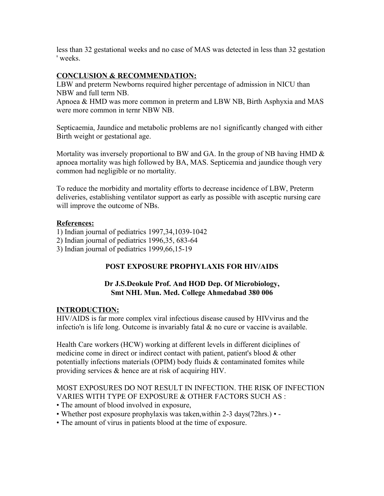less than 32 gestational weeks and no case of MAS was detected in less than 32 gestation ' weeks.

## **CONCLUSION & RECOMMENDATION:**

LBW and preterm Newborns required higher percentage of admission in NICU than NBW and full term NB.

Apnoea & HMD was more common in preterm and LBW NB, Birth Asphyxia and MAS were more common in ternr NBW NB.

Septicaemia, Jaundice and metabolic problems are no1 significantly changed with either Birth weight or gestational age.

Mortality was inversely proportional to BW and GA. In the group of NB having HMD  $\&$ apnoea mortality was high followed by BA, MAS. Septicemia and jaundice though very common had negligible or no mortality.

To reduce the morbidity and mortality efforts to decrease incidence of LBW, Preterm deliveries, establishing ventilator support as early as possible with asceptic nursing care will improve the outcome of NBs.

## **References:**

1) Indian journal of pediatrics 1997,34,1039-1042

- 2) Indian journal of pediatrics 1996,35, 683-64
- 3) Indian journal of pediatrics 1999,66,15-19

## **POST EXPOSURE PROPHYLAXIS FOR HIV/AIDS**

## **Dr J.S.Deokule Prof. And HOD Dep. Of Microbiology, Smt NHL Mun. Med. College Ahmedabad 380 006**

## **INTRODUCTION:**

HIV/AIDS is far more complex viral infectious disease caused by HIVvirus and the infectio'n is life long. Outcome is invariably fatal  $\&$  no cure or vaccine is available.

Health Care workers (HCW) working at different levels in different diciplines of medicine come in direct or indirect contact with patient, patient's blood & other potentially infections materials (OPIM) body fluids & contaminated fomites while providing services & hence are at risk of acquiring HIV.

## MOST EXPOSURES DO NOT RESULT IN INFECTION. THE RISK OF INFECTION VARIES WITH TYPE OF EXPOSURE & OTHER FACTORS SUCH AS :

- The amount of blood involved in exposure,
- Whether post exposure prophylaxis was taken,within 2-3 days(72hrs.) -
- The amount of virus in patients blood at the time of exposure.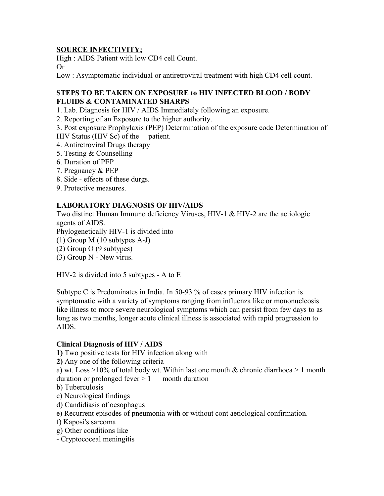## **SOURCE INFECTIVITY;**

High : AIDS Patient with low CD4 cell Count. Or

Low : Asymptomatic individual or antiretroviral treatment with high CD4 cell count.

## **STEPS TO BE TAKEN ON EXPOSURE to HIV INFECTED BLOOD / BODY FLUIDS & CONTAMINATED SHARPS**

1. Lab. Diagnosis for HIV / AIDS Immediately following an exposure.

2. Reporting of an Exposure to the higher authority.

3. Post exposure Prophylaxis (PEP) Determination of the exposure code Determination of HIV Status (HIV Sc) of the patient.

- 4. Antiretroviral Drugs therapy
- 5. Testing & Counselling
- 6. Duration of PEP
- 7. Pregnancy & PEP
- 8. Side effects of these durgs.
- 9. Protective measures.

## **LABORATORY DIAGNOSIS OF HIV/AIDS**

Two distinct Human Immuno deficiency Viruses, HIV-1 & HIV-2 are the aetiologic agents of AIDS.

Phylogenetically HIV-1 is divided into

- (1) Group M (10 subtypes A-J)
- (2) Group O (9 subtypes)
- (3) Group N New virus.

HIV-2 is divided into 5 subtypes - A to E

Subtype C is Predominates in India. In 50-93 % of cases primary HIV infection is symptomatic with a variety of symptoms ranging from influenza like or mononucleosis like illness to more severe neurological symptoms which can persist from few days to as long as two months, longer acute clinical illness is associated with rapid progression to AIDS.

### **Clinical Diagnosis of HIV / AIDS**

**1)** Two positive tests for HIV infection along with

**2)** Any one of the following criteria

a) wt. Loss  $>10\%$  of total body wt. Within last one month & chronic diarrhoea  $>1$  month duration or prolonged fever  $> 1$  month duration

- b) Tuberculosis
- c) Neurological findings
- d) Candidiasis of oesophagus
- e) Recurrent episodes of pneumonia with or without cont aetiological confirmation.
- f) Kaposi's sarcoma
- g) Other conditions like
- Cryptococeal meningitis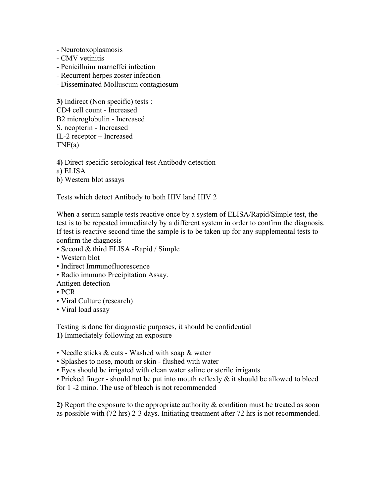- Neurotoxoplasmosis
- CMV vetinitis
- Penicilluim marneffei infection
- Recurrent herpes zoster infection
- Disseminated Molluscum contagiosum

**3)** Indirect (Non specific) tests : CD4 cell count - Increased B2 microglobulin - Increased S. neopterin - Increased IL-2 receptor – Increased  $TNF(a)$ 

**4)** Direct specific serological test Antibody detection

- a) ELISA
- b) Western blot assays

Tests which detect Antibody to both HIV land HIV 2

When a serum sample tests reactive once by a system of ELISA/Rapid/Simple test, the test is to be repeated immediately by a different system in order to confirm the diagnosis. If test is reactive second time the sample is to be taken up for any supplemental tests to confirm the diagnosis

- Second & third ELISA -Rapid / Simple
- Western blot
- Indirect Immunofluorescence
- Radio immuno Precipitation Assay.

Antigen detection

- PCR
- Viral Culture (research)
- Viral load assay

Testing is done for diagnostic purposes, it should be confidential **1)** Immediately following an exposure

- Needle sticks & cuts Washed with soap & water
- Splashes to nose, mouth or skin flushed with water
- Eyes should be irrigated with clean water saline or sterile irrigants
- Pricked finger should not be put into mouth reflexly & it should be allowed to bleed

for 1 -2 mino. The use of bleach is not recommended

**2)** Report the exposure to the appropriate authority & condition must be treated as soon as possible with (72 hrs) 2-3 days. Initiating treatment after 72 hrs is not recommended.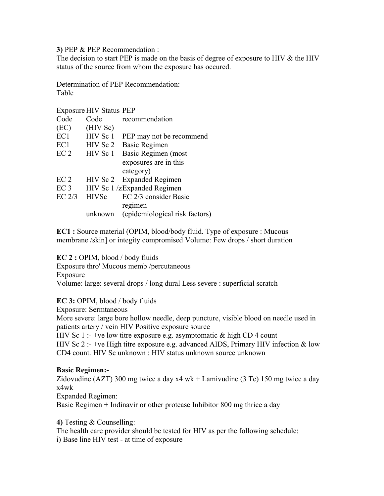**3)** PEP & PEP Recommendation :

The decision to start PEP is made on the basis of degree of exposure to HIV & the HIV status of the source from whom the exposure has occured.

Determination of PEP Recommendation: Table

Exposure HIV Status PEP

| Code            | Code         | recommendation                 |
|-----------------|--------------|--------------------------------|
| (EC)            | (HIV Sc)     |                                |
| EC1             | HIV Sc 1     | PEP may not be recommend       |
| EC1             | HIV Sc 2     | <b>Basic Regimen</b>           |
| EC <sub>2</sub> | HIV Sc 1     | Basic Regimen (most            |
|                 |              | exposures are in this          |
|                 |              | category)                      |
| EC <sub>2</sub> |              | HIV Sc 2 Expanded Regimen      |
| EC <sub>3</sub> |              | HIV Sc 1/zExpanded Regimen     |
| $EC$ $2/3$      | <b>HIVSc</b> | EC 2/3 consider Basic          |
|                 |              | regimen                        |
|                 | unknown      | (epidemiological risk factors) |

**EC1 :** Source material (OPIM, blood/body fluid. Type of exposure : Mucous membrane /skin] or integity compromised Volume: Few drops / short duration

**EC 2 :** OPIM, blood / body fluids

Exposure thro' Mucous memb /percutaneous Exposure

Volume: large: several drops / long dural Less severe : superficial scratch

**EC 3:** OPIM, blood / body fluids

Exposure: Sermtaneous

More severe: large bore hollow needle, deep puncture, visible blood on needle used in patients artery / vein HIV Positive exposure source

HIV Sc 1 :- +ve low titre exposure e.g. asymptomatic  $\&$  high CD 4 count HIV Sc 2 :- +ve High titre exposure e.g. advanced AIDS, Primary HIV infection  $&$  low CD4 count. HIV Sc unknown : HIV status unknown source unknown

### **Basic Regimen:-**

Zidovudine (AZT) 300 mg twice a day x4 wk + Lamivudine (3 Tc) 150 mg twice a day x4wk

Expanded Regimen:

Basic Regimen + Indinavir or other protease Inhibitor 800 mg thrice a day

**4)** Testing & Counselling:

The health care provider should be tested for HIV as per the following schedule:

i) Base line HIV test - at time of exposure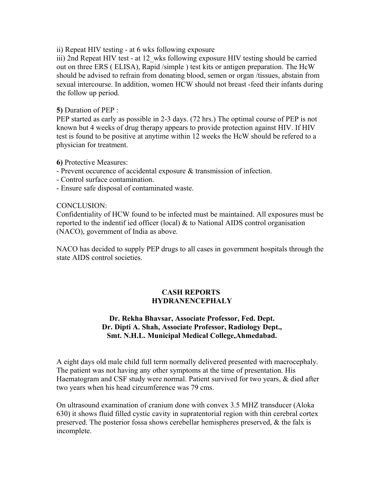ii) Repeat HIV testing - at 6 wks following exposure

iii) 2nd Repeat HIV test - at 12 wks following exposure HIV testing should be carried out on three ERS ( ELISA), Rapid /simple ) test kits or antigen preparation. The HcW should be advised to refrain from donating blood, semen or organ /tissues, abstain from sexual intercourse. In addition, women HCW should not breast -feed their infants during the follow up period.

### **5)** Duration of PEP :

PEP started as early as possible in 2-3 days. (72 hrs.) The optimal course of PEP is not known but 4 weeks of drug therapy appears to provide protection against HIV. If HIV test is found to be positive at anytime within 12 weeks the HcW should be refered to a physician for treatment.

### **6)** Protective Measures:

- Prevent occurence of accidental exposure & transmission of infection.
- Control surface contamination.
- Ensure safe disposal of contaminated waste.

### CONCLUSION:

Confidentiality of HCW found to be infected must be maintained. All exposures must be reported to the indentif ied officer (local) & to National AIDS control organisation (NACO), government of India as above.

NACO has decided to supply PEP drugs to all cases in government hospitals through the state AIDS control societies.

## **CASH REPORTS HYDRANENCEPHALY**

## **Dr. Rekha Bhavsar, Associate Professor, Fed. Dept. Dr. Dipti A. Shah, Associate Professor, Radiology Dept., Smt. N.H.L. Municipal Medical College,Ahmedabad.**

A eight days old male child full term normally delivered presented with macrocephaly. The patient was not having any other symptoms at the time of presentation. His Haematogram and CSF study were normal. Patient survived for two years, & died after two years when his head circumference was 79 cms.

On ultrasound examination of cranium done with convex 3.5 MHZ transducer (Aloka 630) it shows fluid filled cystic cavity in supratentorial region with thin cerebral cortex preserved. The posterior fossa shows cerebellar hemispheres preserved, & the falx is incomplete.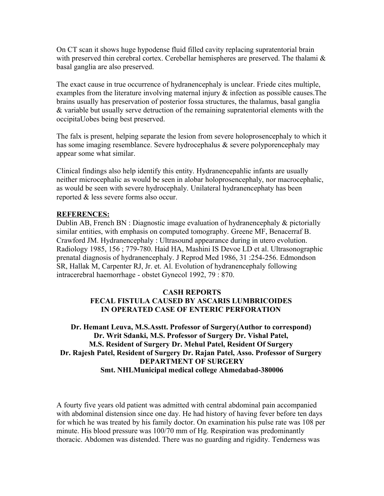On CT scan it shows huge hypodense fluid filled cavity replacing supratentorial brain with preserved thin cerebral cortex. Cerebellar hemispheres are preserved. The thalami  $\&$ basal ganglia are also preserved.

The exact cause in true occurrence of hydranencephaly is unclear. Friede cites multiple, examples from the literature involving maternal injury & infection as possible causes.The brains usually has preservation of posterior fossa structures, the thalamus, basal ganglia & variable but usually serve detruction of the remaining supratentorial elements with the occipitaUobes being best preserved.

The falx is present, helping separate the lesion from severe holoprosencephaly to which it has some imaging resemblance. Severe hydrocephalus & severe polyporencephaly may appear some what similar.

Clinical findings also help identify this entity. Hydranencepahlic infants are usually neither microcephalic as would be seen in alobar holoprosencephaly, nor macrocephalic, as would be seen with severe hydrocephaly. Unilateral hydranencephaty has been reported & less severe forms also occur.

### **REFERENCES:**

Dublin AB, French BN : Diagnostic image evaluation of hydranencephaly  $\&$  pictorially similar entities, with emphasis on computed tomography. Greene MF, Benacerraf B. Crawford JM. Hydranencephaly : Ultrasound appearance during in utero evolution. Radiology 1985, 156 ; 779-780. Haid HA, Mashini IS Devoe LD et al. Ultrasonographic prenatal diagnosis of hydranencephaly. J Reprod Med 1986, 31 :254-256. Edmondson SR, Hallak M, Carpenter RJ, Jr. et. Al. Evolution of hydranencephaly following intracerebral haemorrhage - obstet Gynecol 1992, 79 : 870.

## **CASH REPORTS FECAL FISTULA CAUSED BY ASCARIS LUMBRICOIDES IN OPERATED CASE OF ENTERIC PERFORATION**

## **Dr. Hemant Leuva, M.S.Asstt. Professor of Surgery(Author to correspond) Dr. Writ Sdanki, M.S. Professor of Surgery Dr. Vishal Patel, M.S. Resident of Surgery Dr. Mehul Patel, Resident Of Surgery Dr. Rajesh Patel, Resident of Surgery Dr. Rajan Patel, Asso. Professor of Surgery DEPARTMENT OF SURGERY Smt. NHLMunicipal medical college Ahmedabad-380006**

A fourty five years old patient was admitted with central abdominal pain accompanied with abdominal distension since one day. He had history of having fever before ten days for which he was treated by his family doctor. On examination his pulse rate was 108 per minute. His blood pressure was 100/70 mm of Hg. Respiration was predominantly thoracic. Abdomen was distended. There was no guarding and rigidity. Tenderness was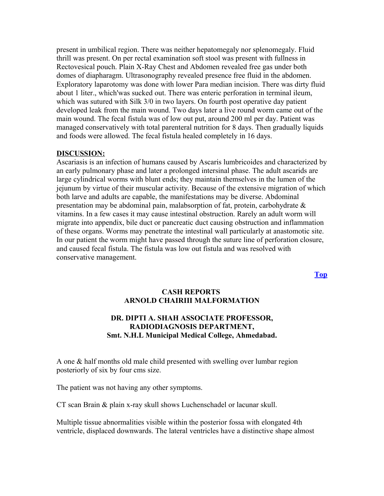present in umbilical region. There was neither hepatomegaly nor splenomegaly. Fluid thrill was present. On per rectal examination soft stool was present with fullness in Rectovesical pouch. Plain X-Ray Chest and Abdomen revealed free gas under both domes of diapharagm. Ultrasonography revealed presence free fluid in the abdomen. Exploratory laparotomy was done with lower Para median incision. There was dirty fluid about 1 liter., which'was sucked out. There was enteric perforation in terminal ileum, which was sutured with Silk 3/0 in two layers. On fourth post operative day patient developed leak from the main wound. Two days later a live round worm came out of the main wound. The fecal fistula was of low out put, around 200 ml per day. Patient was managed conservatively with total parenteral nutrition for 8 days. Then gradually liquids and foods were allowed. The fecal fistula healed completely in 16 days.

#### **DISCUSSION:**

Ascariasis is an infection of humans caused by Ascaris lumbricoides and characterized by an early pulmonary phase and later a prolonged intersinal phase. The adult ascarids are large cylindrical worms with blunt ends; they maintain themselves in the lumen of the jejunum by virtue of their muscular activity. Because of the extensive migration of which both larve and adults are capable, the manifestations may be diverse. Abdominal presentation may be abdominal pain, malabsorption of fat, protein, carbohydrate & vitamins. In a few cases it may cause intestinal obstruction. Rarely an adult worm will migrate into appendix, bile duct or pancreatic duct causing obstruction and inflammation of these organs. Worms may penetrate the intestinal wall particularly at anastomotic site. In our patient the worm might have passed through the suture line of perforation closure, and caused fecal fistula. The fistula was low out fistula and was resolved with conservative management.

**[Top](http://www.nhlmmc.edu.in/cash-report.htm)**

### **CASH REPORTS ARNOLD CHAIRIII MALFORMATION**

## **DR. DIPTI A. SHAH ASSOCIATE PROFESSOR, RADIODIAGNOSIS DEPARTMENT, Smt. N.H.L Municipal Medical College, Ahmedabad.**

A one & half months old male child presented with swelling over lumbar region posteriorly of six by four cms size.

The patient was not having any other symptoms.

CT scan Brain & plain x-ray skull shows Luchenschadel or lacunar skull.

Multiple tissue abnormalities visible within the posterior fossa with elongated 4th ventricle, displaced downwards. The lateral ventricles have a distinctive shape almost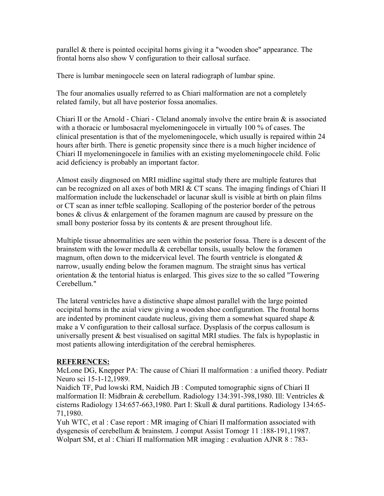parallel & there is pointed occipital horns giving it a "wooden shoe" appearance. The frontal horns also show V configuration to their callosal surface.

There is lumbar meningocele seen on lateral radiograph of lumbar spine.

The four anomalies usually referred to as Chiari malformation are not a completely related family, but all have posterior fossa anomalies.

Chiari II or the Arnold - Chiari - Cleland anomaly involve the entire brain  $\&$  is associated with a thoracic or lumbosacral myelomeningocele in virtually 100 % of cases. The clinical presentation is that of the myelomeningocele, which usually is repaired within 24 hours after birth. There is genetic propensity since there is a much higher incidence of Chiari II myelomeningocele in families with an existing myelomeningocele child. Folic acid deficiency is probably an important factor.

Almost easily diagnosed on MRI midline sagittal study there are multiple features that can be recognized on all axes of both MRI & CT scans. The imaging findings of Chiari II malformation include the luckenschadel or lacunar skull is visible at birth on plain films or CT scan as inner tcfble scalloping. Scalloping of the posterior border of the petrous bones & clivus  $\&$  enlargement of the foramen magnum are caused by pressure on the small bony posterior fossa by its contents  $\&$  are present throughout life.

Multiple tissue abnormalities are seen within the posterior fossa. There is a descent of the brainstem with the lower medulla  $\&$  cerebellar tonsils, usually below the foramen magnum, often down to the midcervical level. The fourth ventricle is elongated  $\&$ narrow, usually ending below the foramen magnum. The straight sinus has vertical orientation & the tentorial hiatus is enlarged. This gives size to the so called "Towering Cerebellum."

The lateral ventricles have a distinctive shape almost parallel with the large pointed occipital horns in the axial view giving a wooden shoe configuration. The frontal horns are indented by prominent caudate nucleus, giving them a somewhat squared shape  $\&$ make a V configuration to their callosal surface. Dysplasis of the corpus callosum is universally present & best visualised on sagittal MRI studies. The falx is hypoplastic in most patients allowing interdigitation of the cerebral hemispheres.

## **REFERENCES:**

McLone DG, Knepper PA: The cause of Chiari II malformation : a unified theory. Pediatr Neuro sci 15-1-12,1989.

Naidich TF, Pud lowski RM, Naidich JB : Computed tomographic signs of Chiari II malformation II: Midbrain & cerebellum. Radiology 134:391-398,1980. Ill: Ventricles & cisterns Radiology 134:657-663,1980. Part I: Skull & dural partitions. Radiology 134:65- 71,1980.

Yuh WTC, et al : Case report : MR imaging of Chiari II malformation associated with dysgenesis of cerebellum & brainstem. J comput Assist Tomogr 11 :188-191,11987. Wolpart SM, et al : Chiari II malformation MR imaging : evaluation AJNR 8 : 783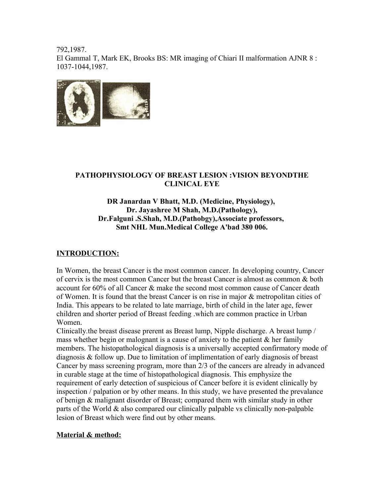792,1987. El Gammal T, Mark EK, Brooks BS: MR imaging of Chiari II malformation AJNR 8 : 1037-1044,1987.



## **PATHOPHYSIOLOGY OF BREAST LESION :VISION BEYONDTHE CLINICAL EYE**

## **DR Janardan V Bhatt, M.D. (Medicine, Physiology), Dr. Jayashree M Shah, M.D.(Pathology), Dr.Falguni .S.Shah, M.D.(Pathobgy),Associate professors, Smt NHL Mun.Medical College A'bad 380 006.**

## **INTRODUCTION:**

In Women, the breast Cancer is the most common cancer. In developing country, Cancer of cervix is the most common Cancer but the breast Cancer is almost as common & both account for 60% of all Cancer & make the second most common cause of Cancer death of Women. It is found that the breast Cancer is on rise in major & metropolitan cities of India. This appears to be related to late marriage, birth of child in the later age, fewer children and shorter period of Breast feeding .which are common practice in Urban Women.

Clinically.the breast disease prerent as Breast lump, Nipple discharge. A breast lump / mass whether begin or malognant is a cause of anxiety to the patient  $\&$  her family members. The histopathological diagnosis is a universally accepted confirmatory mode of diagnosis & follow up. Due to limitation of implimentation of early diagnosis of breast Cancer by mass screening program, more than 2/3 of the cancers are already in advanced in curable stage at the time of histopathological diagnosis. This emphysize the requirement of early detection of suspicious of Cancer before it is evident clinically by inspection / palpation or by other means. In this study, we have presented the prevalance of benign & malignant disorder of Breast; compared them with similar study in other parts of the World & also compared our clinically palpable vs clinically non-palpable lesion of Breast which were find out by other means.

## **Material & method:**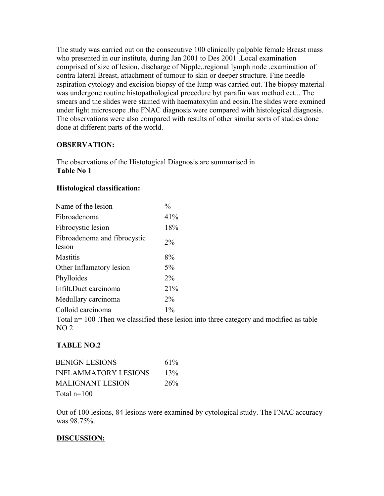The study was carried out on the consecutive 100 clinically palpable female Breast mass who presented in our institute, during Jan 2001 to Des 2001 .Local examination comprised of size of lesion, discharge of Nipple,.regional lymph node .examination of contra lateral Breast, attachment of tumour to skin or deeper structure. Fine needle aspiration cytology and excision biopsy of the lump was carried out. The biopsy material was undergone routine histopathological procedure byt parafin wax method ect... The smears and the slides were stained with haematoxylin and eosin.The slides were exmined under light microscope .the FNAC diagnosis were compared with histological diagnosis. The observations were also compared with results of other similar sorts of studies done done at different parts of the world.

## **OBSERVATION:**

The observations of the Histotogical Diagnosis are summarised in **Table No 1** 

## **Histological classification:**

| Name of the lesion                     | $\frac{0}{0}$ |
|----------------------------------------|---------------|
| Fibroadenoma                           | 41%           |
| Fibrocystic lesion                     | 18%           |
| Fibroadenoma and fibrocystic<br>lesion | $2\%$         |
| <b>Mastitis</b>                        | 8%            |
| Other Inflamatory lesion               | 5%            |
| Phylloides                             | 2%            |
| Infilt.Duct carcinoma                  | 21%           |
| Medullary carcinoma                    | $2\%$         |
| Colloid carcinoma                      | $1\%$         |
|                                        |               |

Total n= 100 .Then we classified these lesion into three category and modified as table  $NO<sub>2</sub>$ 

# **TABLE NO.2**

| <b>BENIGN LESIONS</b>       | 61% |
|-----------------------------|-----|
| <b>INFLAMMATORY LESIONS</b> | 13% |
| MALIGNANT LESION            | 26% |
| $T \pm 1$ $100$             |     |

Total n=100

Out of 100 lesions, 84 lesions were examined by cytological study. The FNAC accuracy was 98.75%.

# **DISCUSSION:**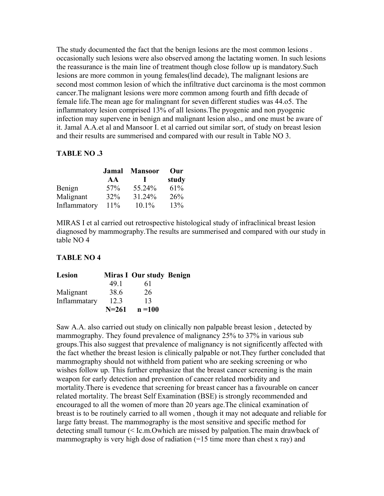The study documented the fact that the benign lesions are the most common lesions . occasionally such lesions were also observed among the lactating women. In such lesions the reassurance is the main line of treatment though close follow up is mandatory.Such lesions are more common in young females(lind decade), The malignant lesions are second most common lesion of which the infiltrative duct carcinoma is the most common cancer.The malignant lesions were more common among fourth and fifth decade of female life.The mean age for malingnant for seven different studies was 44.o5. The inflammatory lesion comprised 13% of all lesions.The pyogenic and non pyogenic infection may supervene in benign and malignant lesion also., and one must be aware of it. Jamal A.A.et al and Mansoor I. et al carried out similar sort, of study on breast lesion and their results are summerised and compared with our result in Table NO 3.

### **TABLE NO .3**

|              | Jamal | <b>Mansoor</b> | Our   |
|--------------|-------|----------------|-------|
|              | AA    |                | study |
| Benign       | 57%   | 55.24%         | 61%   |
| Malignant    | 32%   | 31.24%         | 26%   |
| Inflammatory | 11%   | $10.1\%$       | 13%   |

MIRAS I et al carried out retrospective histological study of infraclinical breast lesion diagnosed by mammography.The results are summerised and compared with our study in table NO 4

### **TABLE NO 4**

| Lesion       |           | Miras I Our study Benign |  |
|--------------|-----------|--------------------------|--|
|              | 491       | 61                       |  |
| Malignant    | 38.6      | 26                       |  |
| Inflammatary | 12.3      | 13                       |  |
|              | $N = 261$ | $n = 100$                |  |

Saw A.A. also carried out study on clinically non palpable breast lesion , detected by mammography. They found prevalence of malignancy 25% to 37% in various sub groups.This also suggest that prevalence of malignancy is not significently affected with the fact whether the breast lesion is clinically palpable or not.They further concluded that mammography should not withheld from patient who are seeking screening or who wishes follow up. This further emphasize that the breast cancer screening is the main weapon for early detection and prevention of cancer related morbidity and mortality.There is evedence that screening for breast cancer has a favourable on cancer related mortality. The breast Self Examination (BSE) is strongly recommended and encouraged to all the women of more than 20 years age.The clinical examination of breast is to be routinely carried to all women , though it may not adequate and reliable for large fatty breast. The mammography is the most sensitive and specific method for detecting small tumour (< Ic.m.Owhich are missed by palpation.The main drawback of mammography is very high dose of radiation  $(=15$  time more than chest x ray) and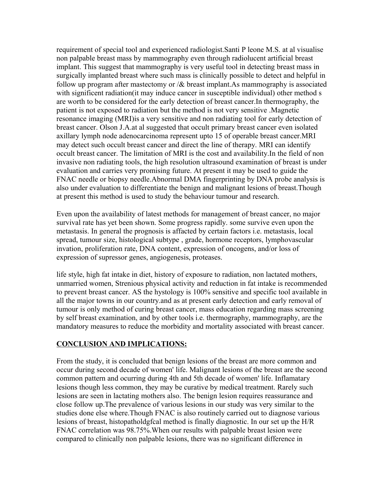requirement of special tool and experienced radiologist.Santi P leone M.S. at al visualise non palpable breast mass by mammography even through radiolucent artificial breast implant. This suggest that mammography is very useful tool in detecting breast mass in surgically implanted breast where such mass is clinically possible to detect and helpful in follow up program after mastectomy or  $\alpha$  breast implant. As mammography is associated with significent radiation(it may induce cancer in susceptible individual) other method s are worth to be considered for the early detection of breast cancer.In thermography, the patient is not exposed to radiation but the method is not very sensitive .Magnetic resonance imaging (MRI)is a very sensitive and non radiating tool for early detection of breast cancer. Olson J.A.at al suggested that occult primary breast cancer even isolated axillary lymph node adenocarcinoma represent upto 15 of operable breast cancer.MRI may detect such occult breast cancer and direct the line of therapy. MRI can identify occult breast cancer. The limitation of MRI is the cost and availability.In the field of non invasive non radiating tools, the high resolution ultrasound examination of breast is under evaluation and carries very promising future. At present it may be used to guide the FNAC needle or biopsy needle.Abnormal DMA fingerprinting by DNA probe analysis is also under evaluation to differentiate the benign and malignant lesions of breast.Though at present this method is used to study the behaviour tumour and research.

Even upon the availability of latest methods for management of breast cancer, no major survival rate has yet been shown. Some progress rapidly. some survive even upon the metastasis. In general the prognosis is affacted by certain factors i.e. metastasis, local spread, tumour size, histological subtype , grade, hormone receptors, lymphovascular invation, proliferation rate, DNA content, expression of oncogens, and/or loss of expression of supressor genes, angiogenesis, proteases.

life style, high fat intake in diet, history of exposure to radiation, non lactated mothers, unmarried women, Strenious physical activity and reduction in fat intake is recommended to prevent breast cancer. AS the hystology is 100% sensitive and specific tool available in all the major towns in our country.and as at present early detection and early removal of tumour is only method of curing breast cancer, mass education regarding mass screening by self breast examination, and by other tools i.e. thermography, mammography, are the mandatory measures to reduce the morbidity and mortality associated with breast cancer.

## **CONCLUSION AND IMPLICATIONS:**

From the study, it is concluded that benign lesions of the breast are more common and occur during second decade of women' life. Malignant lesions of the breast are the second common pattern and ocurring during 4th and 5th decade of women' life. Inflamatary lesions though less common, they may be curative by medical treatment. Rarely such lesions are seen in lactating mothers also. The benign lesion requires reassurance and close follow up.The prevalence of various lesions in our study was very similar to the studies done else where.Though FNAC is also routinely carried out to diagnose various lesions of breast, histopatholdgfcal method is finally diagnostic. In our set up the H/R FNAC correlation was 98.75%.When our results with palpable breast lesion were compared to clinically non palpable lesions, there was no significant difference in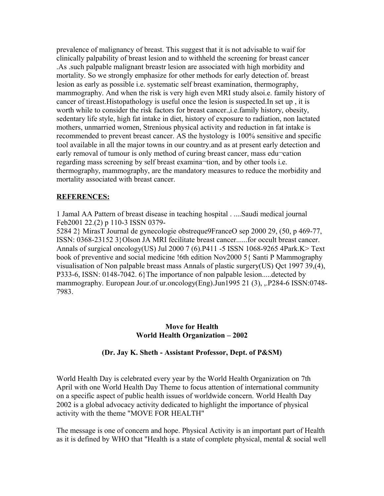prevalence of malignancy of breast. This suggest that it is not advisable to waif for clinically palpability of breast lesion and to withheld the screening for breast cancer .As .such palpable malignant breastr lesion are associated with high morbidity and mortality. So we strongly emphasize for other methods for early detection of. breast lesion as early as possible i.e. systematic self breast examination, thermography, mammography. And when the risk is very high even MRI study alsoi.e. family history of cancer of tireast.Histopathology is useful once the lesion is suspected.In set up , it is worth while to consider the risk factors for breast cancer.,i.e.family history, obesity, sedentary life style, high fat intake in diet, history of exposure to radiation, non lactated mothers, unmarried women, Strenious physical activity and reduction in fat intake is recommended to prevent breast cancer. AS the hystology is 100% sensitive and specific tool available in all the major towns in our country.and as at present early detection and early removal of tumour is only method of curing breast cancer, mass edu-cation regarding mass screening by self breast examina-tion, and by other tools i.e. thermography, mammography, are the mandatory measures to reduce the morbidity and mortality associated with breast cancer.

### **REFERENCES:**

1 Jamal AA Pattern of breast disease in teaching hospital . ....Saudi medical journal Feb2001 22.(2) p 110-3 ISSN 0379-

5284 2} MirasT Journal de gynecologie obstreque9FranceO sep 2000 29, (50, p 469-77, ISSN: 0368-23152 3}Olson JA MRI fecilitate breast cancer......for occult breast cancer. Annals of surgical oncology(US) Jul 2000 7 (6).P411 -5 ISSN 1068-9265 4Park.K> Text book of preventive and social medicine !6th edition Nov2000 5{ Santi P Mammography visualisation of Non palpable breast mass Annals of plastic surgery(US) Qct 1997 39,(4), P333-6, ISSN: 0148-7042. 6}The importance of non palpable lesion.....detected by mammography. European Jour.of ur.oncology(Eng).Jun1995 21 (3), ,.P284-6 ISSN:0748-7983.

### **Move for Health World Health Organization – 2002**

### **(Dr. Jay K. Sheth - Assistant Professor, Dept. of P&SM)**

World Health Day is celebrated every year by the World Health Organization on 7th April with one World Health Day Theme to focus attention of international community on a specific aspect of public health issues of worldwide concern. World Health Day 2002 is a global advocacy activity dedicated to highlight the importance of physical activity with the theme "MOVE FOR HEALTH"

The message is one of concern and hope. Physical Activity is an important part of Health as it is defined by WHO that "Health is a state of complete physical, mental & social well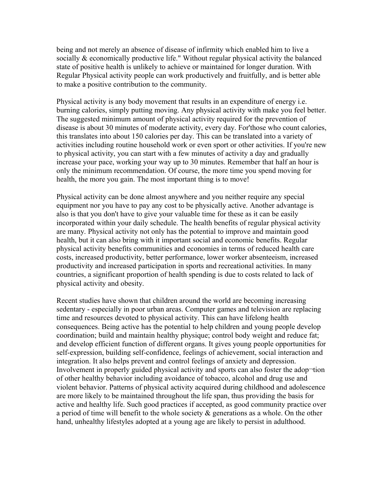being and not merely an absence of disease of infirmity which enabled him to live a socially & economically productive life." Without regular physical activity the balanced state of positive health is unlikely to achieve or maintained for longer duration. With Regular Physical activity people can work productively and fruitfully, and is better able to make a positive contribution to the community.

Physical activity is any body movement that results in an expenditure of energy i.e. burning calories, simply putting moving. Any physical activity with make you feel better. The suggested minimum amount of physical activity required for the prevention of disease is about 30 minutes of moderate activity, every day. For'those who count calories, this translates into about 150 calories per day. This can be translated into a variety of activities including routine household work or even sport or other activities. If you're new to physical activity, you can start with a few minutes of activity a day and gradually increase your pace, working your way up to 30 minutes. Remember that half an hour is only the minimum recommendation. Of course, the more time you spend moving for health, the more you gain. The most important thing is to move!

Physical activity can be done almost anywhere and you neither require any special equipment nor you have to pay any cost to be physically active. Another advantage is also is that you don't have to give your valuable time for these as it can be easily incorporated within your daily schedule. The health benefits of regular physical activity are many. Physical activity not only has the potential to improve and maintain good health, but it can also bring with it important social and economic benefits. Regular physical activity benefits communities and economies in terms of reduced health care costs, increased productivity, better performance, lower worker absenteeism, increased productivity and increased participation in sports and recreational activities. In many countries, a significant proportion of health spending is due to costs related to lack of physical activity and obesity.

Recent studies have shown that children around the world are becoming increasing sedentary - especially in poor urban areas. Computer games and television are replacing time and resources devoted to physical activity. This can have lifelong health consequences. Being active has the potential to help children and young people develop coordination; build and maintain healthy physique; control body weight and reduce fat; and develop efficient function of different organs. It gives young people opportunities for self-expression, building self-confidence, feelings of achievement, social interaction and integration. It also helps prevent and control feelings of anxiety and depression. Involvement in properly guided physical activity and sports can also foster the adop¬tion of other healthy behavior including avoidance of tobacco, alcohol and drug use and violent behavior. Patterns of physical activity acquired during childhood and adolescence are more likely to be maintained throughout the life span, thus providing the basis for active and healthy life. Such good practices if accepted, as good community practice over a period of time will benefit to the whole society & generations as a whole. On the other hand, unhealthy lifestyles adopted at a young age are likely to persist in adulthood.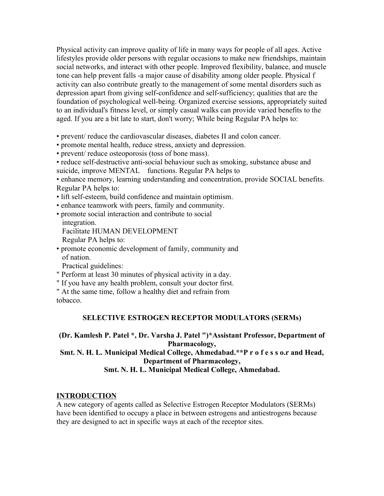Physical activity can improve quality of life in many ways for people of all ages. Active lifestyles provide older persons with regular occasions to make new friendships, maintain social networks, and interact with other people. Improved flexibility, balance, and muscle tone can help prevent falls -a major cause of disability among older people. Physical f activity can also contribute greatly to the management of some mental disorders such as depression apart from giving self-confidence and self-sufficiency; qualities that are the foundation of psychological well-being. Organized exercise sessions, appropriately suited to an individual's fitness level, or simply casual walks can provide varied benefits to the aged. If you are a bit late to start, don't worry; While being Regular PA helps to:

• prevent/ reduce the cardiovascular diseases, diabetes II and colon cancer.

• promote mental health, reduce stress, anxiety and depression.

• prevent/ reduce osteoporosis (toss of bone mass).

• reduce self-destructive anti-social behaviour such as smoking, substance abuse and

suicide, improve MENTAL functions. Regular PA helps to

• enhance memory, learning understanding and concentration, provide SOCIAL benefits. Regular PA helps to:

- lift self-esteem, build confidence and maintain optimism.
- enhance teamwork with peers, family and community.
- promote social interaction and contribute to social integration.

Facilitate HUMAN DEVELOPMENT

Regular PA helps to:

• promote economic development of family, community and of nation.

Practical guidelines:

" Perform at least 30 minutes of physical activity in a day.

" If you have any health problem, consult your doctor first.

" At the same time, follow a healthy diet and refrain from tobacco.

## **SELECTIVE ESTROGEN RECEPTOR MODULATORS (SERMs)**

## **(Dr. Kamlesh P. Patel \*, Dr. Varsha J. Patel ")\*Assistant Professor, Department of Pharmacology,**

## **Smt. N. H. L. Municipal Medical College, Ahmedabad.\*\*P r o f e s s o.r and Head, Department of Pharmacology,**

## **Smt. N. H. L. Municipal Medical College, Ahmedabad.**

# **INTRODUCTION**

A new category of agents called as Selective Estrogen Receptor Modulators (SERMs) have been identified to occupy a place in between estrogens and antiestrogens because they are designed to act in specific ways at each of the receptor sites.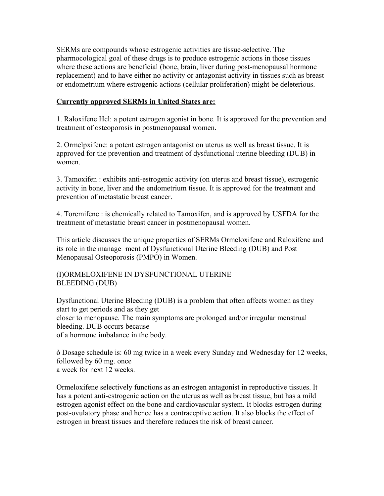SERMs are compounds whose estrogenic activities are tissue-selective. The pharmocological goal of these drugs is to produce estrogenic actions in those tissues where these actions are beneficial (bone, brain, liver during post-menopausal hormone replacement) and to have either no activity or antagonist activity in tissues such as breast or endometrium where estrogenic actions (cellular proliferation) might be deleterious.

## **Currently approved SERMs in United States are:**

1. Raloxifene Hcl: a potent estrogen agonist in bone. It is approved for the prevention and treatment of osteoporosis in postmenopausal women.

2. Ormelpxifene: a potent estrogen antagonist on uterus as well as breast tissue. It is approved for the prevention and treatment of dysfunctional uterine bleeding (DUB) in women.

3. Tamoxifen : exhibits anti-estrogenic activity (on uterus and breast tissue), estrogenic activity in bone, liver and the endometrium tissue. It is approved for the treatment and prevention of metastatic breast cancer.

4. Toremifene : is chemically related to Tamoxifen, and is approved by USFDA for the treatment of metastatic breast cancer in postmenopausal women.

This article discusses the unique properties of SERMs Ormeloxifene and Raloxifene and its role in the manage¬ment of Dysfunctional Uterine Bleeding (DUB) and Post Menopausal Osteoporosis (PMPO) in Women.

## (I)ORMELOXIFENE IN DYSFUNCTIONAL UTERINE BLEEDING (DUB)

Dysfunctional Uterine Bleeding (DUB) is a problem that often affects women as they start to get periods and as they get closer to menopause. The main symptoms are prolonged and/or irregular menstrual bleeding. DUB occurs because of a hormone imbalance in the body.

ò Dosage schedule is: 60 mg twice in a week every Sunday and Wednesday for 12 weeks, followed by 60 mg. once a week for next 12 weeks.

Ormeloxifene selectively functions as an estrogen antagonist in reproductive tissues. It has a potent anti-estrogenic action on the uterus as well as breast tissue, but has a mild estrogen agonist effect on the bone and cardiovascular system. It blocks estrogen during post-ovulatory phase and hence has a contraceptive action. It also blocks the effect of estrogen in breast tissues and therefore reduces the risk of breast cancer.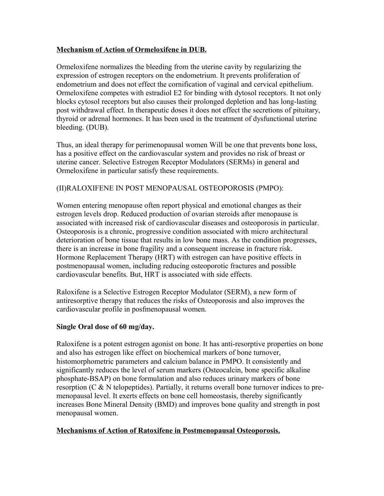## **Mechanism of Action of Ormeloxifene in DUB.**

Ormeloxifene normalizes the bleeding from the uterine cavity by regularizing the expression of estrogen receptors on the endometrium. It prevents proliferation of endometrium and does not effect the cornification of vaginal and cervical epithelium. Ormeloxifene competes with estradiol E2 for binding with dytosol receptors. It not only blocks cytosol receptors but also causes their prolonged depletion and has long-lasting post withdrawal effect. In therapeutic doses it does not effect the secretions of pituitary, thyroid or adrenal hormones. It has been used in the treatment of dysfunctional uterine bleeding. (DUB).

Thus, an ideal therapy for perimenopausal women Will be one that prevents bone loss, has a positive effect on the cardiovascular system and provides no risk of breast or uterine cancer. Selective Estrogen Receptor Modulators (SERMs) in general and Ormeloxifene in particular satisfy these requirements.

## (II)RALOXIFENE IN POST MENOPAUSAL OSTEOPOROSIS (PMPO):

Women entering menopause often report physical and emotional changes as their estrogen levels drop. Reduced production of ovarian steroids after menopause is associated with increased risk of cardiovascular diseases and osteoporosis in particular. Osteoporosis is a chronic, progressive condition associated with micro architectural deterioration of bone tissue that results in low bone mass. As the condition progresses, there is an increase in bone fragility and a consequent increase in fracture risk. Hormone Replacement Therapy (HRT) with estrogen can have positive effects in postmenopausal women, including reducing osteoporotic fractures and possible cardiovascular benefits. But, HRT is associated with side effects.

Raloxifene is a Selective Estrogen Receptor Modulator (SERM), a new form of antiresorptive therapy that reduces the risks of Osteoporosis and also improves the cardiovascular profile in posfmenopausal women.

### **Single Oral dose of 60 mg/day.**

Raloxifene is a potent estrogen agonist on bone. It has anti-resorptive properties on bone and also has estrogen like effect on biochemical markers of bone turnover, histomorphometric parameters and calcium balance in PMPO. It consistently and significantly reduces the level of serum markers (Osteocalcin, bone specific alkaline phosphate-BSAP) on bone formulation and also reduces urinary markers of bone resorption (C & N telopeptides). Partially, it returns overall bone turnover indices to premenopausal level. It exerts effects on bone cell homeostasis, thereby significantly increases Bone Mineral Density (BMD) and improves bone quality and strength in post menopausal women.

## **Mechanisms of Action of Ratoxifene in Postmenopausal Osteoporosis.**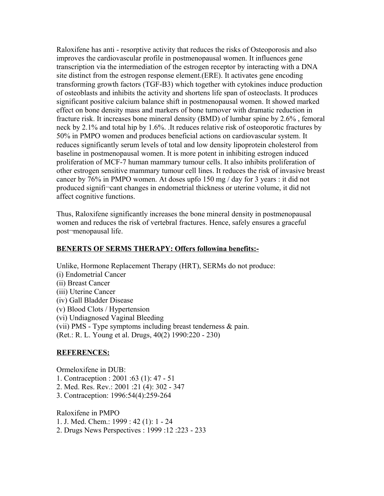Raloxifene has anti - resorptive activity that reduces the risks of Osteoporosis and also improves the cardiovascular profile in postmenopausal women. It influences gene transcription via the intermediation of the estrogen receptor by interacting with a DNA site distinct from the estrogen response element.(ERE). It activates gene encoding transforming growth factors (TGF-B3) which together with cytokines induce production of osteoblasts and inhibits the activity and shortens life span of osteoclasts. It produces significant positive calcium balance shift in postmenopausal women. It showed marked effect on bone density mass and markers of bone turnover with dramatic reduction in fracture risk. It increases bone mineral density (BMD) of lumbar spine by 2.6% , femoral neck by 2.1% and total hip by 1.6%. .It reduces relative risk of osteoporotic fractures by 50% in PMPO women and produces beneficial actions on cardiovascular system. It reduces significantly serum levels of total and low density lipoprotein cholesterol from baseline in postmenopausal women. It is more potent in inhibiting estrogen induced proliferation of MCF-7 human mammary tumour cells. It also inhibits proliferation of other estrogen sensitive mammary tumour cell lines. It reduces the risk of invasive breast cancer by 76% in PMPO women. At doses upfo 150 mg / day for 3 years : it did not produced signifi¬cant changes in endometrial thickness or uterine volume, it did not affect cognitive functions.

Thus, Raloxifene significantly increases the bone mineral density in postmenopausal women and reduces the risk of vertebral fractures. Hence, safely ensures a graceful post¬menopausal life.

### **BENERTS OF SERMS THERAPY: Offers followina benefits:-**

Unlike, Hormone Replacement Therapy (HRT), SERMs do not produce: (i) Endometrial Cancer (ii) Breast Cancer (iii) Uterine Cancer (iv) Gall Bladder Disease (v) Blood Clots / Hypertension (vi) Undiagnosed Vaginal Bleeding (vii) PMS - Type symptoms including breast tenderness & pain. (Ret.: R. L. Young et al. Drugs, 40(2) 1990:220 - 230)

### **REFERENCES:**

Ormeloxifene in DUB: 1. Contraception : 2001 :63 (1): 47 - 51 2. Med. Res. Rev.: 2001 :21 (4): 302 - 347 3. Contraception: 1996:54(4):259-264

Raloxifene in PMPO 1. J. Med. Chem.: 1999 : 42 (1): 1 - 24 2. Drugs News Perspectives : 1999 :12 :223 - 233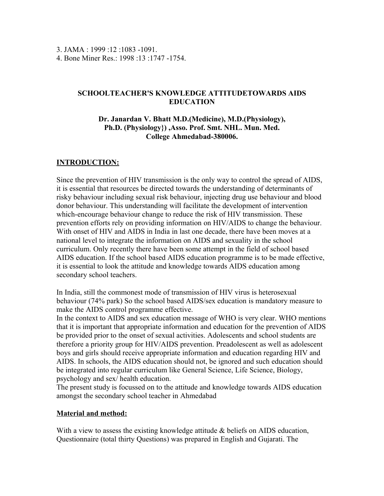3. JAMA  $\cdot$  1999  $\cdot$  12  $\cdot$  1083 - 1091. 4. Bone Miner Res.: 1998 :13 :1747 -1754.

### **SCHOOLTEACHER'S KNOWLEDGE ATTITUDETOWARDS AIDS EDUCATION**

### **Dr. Janardan V. Bhatt M.D.(Medicine), M.D.(Physiology), Ph.D. (Physiology}) ,Asso. Prof. Smt. NHL. Mun. Med. College Ahmedabad-380006.**

## **INTRODUCTION:**

Since the prevention of HIV transmission is the only way to control the spread of AIDS, it is essential that resources be directed towards the understanding of determinants of risky behaviour including sexual risk behaviour, injecting drug use behaviour and blood donor behaviour. This understanding will facilitate the development of intervention which-encourage behaviour change to reduce the risk of HIV transmission. These prevention efforts rely on providing information on HIV/AIDS to change the behaviour. With onset of HIV and AIDS in India in last one decade, there have been moves at a national level to integrate the information on AIDS and sexuality in the school curriculum. Only recently there have been some attempt in the field of school based AIDS education. If the school based AIDS education programme is to be made effective, it is essential to look the attitude and knowledge towards AIDS education among secondary school teachers.

In India, still the commonest mode of transmission of HIV virus is heterosexual behaviour (74% park) So the school based AIDS/sex education is mandatory measure to make the AIDS control programme effective.

In the context to AIDS and sex education message of WHO is very clear. WHO mentions that it is important that appropriate information and education for the prevention of AIDS be provided prior to the onset of sexual activities. Adolescents and school students are therefore a priority group for HIV/AIDS prevention. Preadolescent as well as adolescent boys and girls should receive appropriate information and education regarding HIV and AIDS. In schools, the AIDS education should not, be ignored and such education should be integrated into regular curriculum like General Science, Life Science, Biology, psychology and sex/ health education.

The present study is focussed on to the attitude and knowledge towards AIDS education amongst the secondary school teacher in Ahmedabad

### **Material and method:**

With a view to assess the existing knowledge attitude & beliefs on AIDS education, Questionnaire (total thirty Questions) was prepared in English and Gujarati. The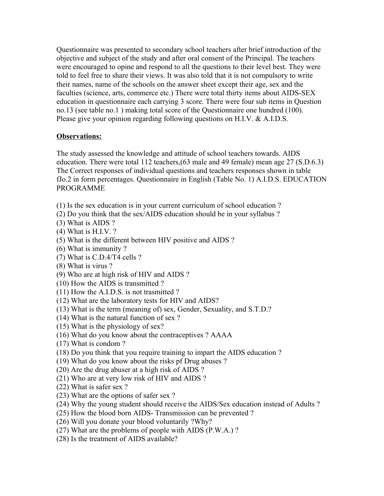Questionnaire was presented to secondary school teachers after brief introduction of the objective and subject of the study and after oral consent of the Principal. The teachers were encouraged to opine and respond to all the questions to their level best. They were told to feel free to share their views. It was also told that it is not compulsory to write their names, name of the schools on the answer sheet except their age, sex and the faculties (science, arts, commerce etc.) There were total thirty items about AIDS-SEX education in questionnaire each carrying 3 score. There were four sub items in Question no.13 (see table no.1 ) making total score of the Questionnaire one hundred (100). Please give your opinion regarding following questions on H.I.V. & A.I.D.S.

## **Observations:**

The study assessed the knowledge and attitude of school teachers towards. AIDS education. There were total 112 teachers,(63 male and 49 female) mean age 27 (S.D.6.3) The Correct responses of individual questions and teachers responses shown in table fJo.2 in form percentages. Questionnaire in English (Table No. 1) A.I.D.S. EDUCATION PROGRAMME

- (1) Is the sex education is in your current curriculum of school education ?
- (2) Do you think that the sex/AIDS education should be in your syllabus ?
- (3) What is AIDS ?
- (4) What is H.I.V. ?
- (5) What is the different between HIV positive and AIDS ?
- (6) What is immunity ?
- (7) What is C.D.4/T4 cells ?
- (8) What is virus ?
- (9) Who are at high risk of HIV and AIDS ?
- (10) How the AIDS is transmitted ?
- (11) How the A.I.D.S. is not trasmitted ?
- (12) What are the laboratory tests for HIV and AIDS?
- (13) What is the term (meaning of) sex, Gender, Sexuality, and S.T.D.?
- (14) What is the natural function of sex ?
- (15) What is the physiology of sex?
- (16) What do you know about the contraceptives ? AAAA
- (17) What is condom ?
- (18) Do you think that you require training to impart the AIDS education ?
- (19) What do you know about the risks pf Drug abuses ?
- (20) Are the drug abuser at a high risk of AIDS ?
- (21) Who are at very low risk of HIV and AIDS ?
- (22) What is safer sex ?
- (23) What are the options of safer sex ?
- (24) Why the young student should receive the AIDS/Sex education instead of Adults ?
- (25) How the blood born AIDS- Transmission can be prevented ?
- (26) Will you donate your blood voluntarily ?Why?
- (27) What are the problems of people with AIDS (P.W.A.) ?
- (28) Is the treatment of AIDS available?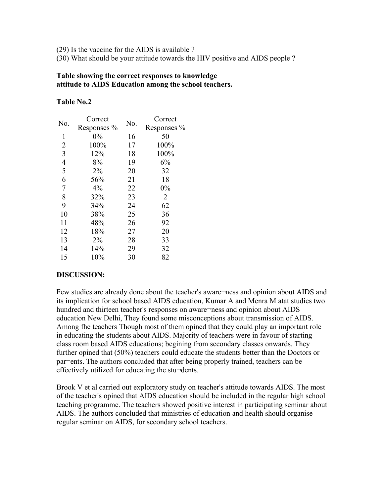(29) Is the vaccine for the AIDS is available ?

(30) What should be your attitude towards the HIV positive and AIDS people ?

### **Table showing the correct responses to knowledge attitude to AIDS Education among the school teachers.**

### **Table No.2**

| No.                      | Correct     | No. | Correct        |
|--------------------------|-------------|-----|----------------|
|                          | Responses % |     | Responses %    |
| 1                        | 0%          | 16  | 50             |
| $\overline{2}$           | 100%        | 17  | 100%           |
| 3                        | 12%         | 18  | 100%           |
| $\overline{\mathcal{L}}$ | 8%          | 19  | 6%             |
| 5                        | 2%          | 20  | 32             |
| 6                        | 56%         | 21  | 18             |
| $\sqrt{ }$               | 4%          | 22  | 0%             |
| 8                        | 32%         | 23  | $\overline{2}$ |
| 9                        | 34%         | 24  | 62             |
| 10                       | 38%         | 25  | 36             |
| 11                       | 48%         | 26  | 92             |
| 12                       | 18%         | 27  | 20             |
| 13                       | 2%          | 28  | 33             |
| 14                       | 14%         | 29  | 32             |
| 15                       | 10%         | 30  | 82             |
|                          |             |     |                |

### **DISCUSSION:**

Few studies are already done about the teacher's aware¬ness and opinion about AIDS and its implication for school based AIDS education, Kumar A and Menra M atat studies two hundred and thirteen teacher's responses on aware¬ness and opinion about AIDS education New Delhi, They found some misconceptions about transmission of AIDS. Among fhe teachers Though most of them opined that they could play an important role in educating the students about AIDS. Majority of teachers were in favour of starting class room based AIDS educations; begining from secondary classes onwards. They further opined that (50%) teachers could educate the students better than the Doctors or par¬ents. The authors concluded that after being properly trained, teachers can be effectively utilized for educating the stu¬dents.

Brook V et al carried out exploratory study on teacher's attitude towards AIDS. The most of the teacher's opined that AIDS education should be included in the regular high school teaching programme. The teachers showed positive interest in participating seminar about AIDS. The authors concluded that ministries of education and health should organise regular seminar on AIDS, for secondary school teachers.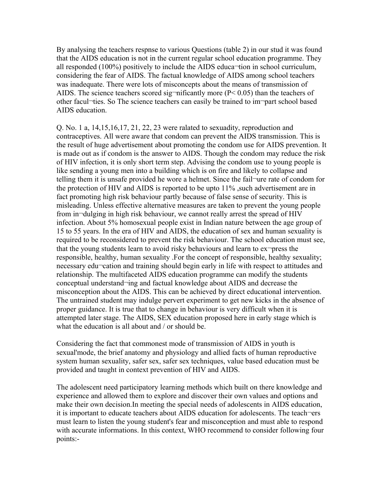By analysing the teachers respnse to various Questions (table 2) in our stud it was found that the AIDS education is not in the current regular school education programme. They all responded (100%) positively to include the AIDS educa¬tion in school curriculum, considering the fear of AIDS. The factual knowledge of AIDS among school teachers was inadequate. There were lots of misconcepts about the means of transmission of AIDS. The science teachers scored sig-nificantly more ( $P < 0.05$ ) than the teachers of other facul¬ties. So The science teachers can easily be trained to im¬part school based AIDS education.

Q. No. 1 a,  $14,15,16,17, 21, 22, 23$  were ralated to sexuadity, reproduction and contraceptives. All were aware that condom can prevent the AIDS transmission. This is the result of huge advertisement about promoting the condom use for AIDS prevention. It is made out as if condom is the answer to AIDS. Though the condom may reduce the risk of HIV infection, it is only short term step. Advising the condom use to young people is like sending a young men into a building which is on fire and likely to collapse and telling them it is unsafe provided he wore a helmet. Since the fail¬ure rate of condom for the protection of HIV and AIDS is reported to be upto 11% ,such advertisement are in fact promoting high risk behaviour partly because of false sense of security. This is misleading. Unless effective alternative measures are taken to prevent the young people from in-dulging in high risk behaviour, we cannot really arrest the spread of HIV infection. About 5% homosexual people exist in Indian nature between the age group of 15 to 55 years. In the era of HIV and AIDS, the education of sex and human sexuality is required to be reconsidered to prevent the risk behaviour. The school education must see, that the young students learn to avoid risky behaviours and learn to ex¬press the responsible, healthy, human sexuality .For the concept of responsible, healthy sexuality; necessary edu¬cation and training should begin early in life with respect to attitudes and relationship. The multifaceted AIDS education programme can modify the students conceptual understand¬ing and factual knowledge about AIDS and decrease the misconception about the AIDS. This can be achieved by direct educational intervention. The untrained student may indulge pervert experiment to get new kicks in the absence of proper guidance. It is true that to change in behaviour is very difficult when it is attempted later stage. The AIDS, SEX education proposed here in early stage which is what the education is all about and / or should be.

Considering the fact that commonest mode of transmission of AIDS in youth is sexual'mode, the brief anatomy and physiology and allied facts of human reproductive system human sexuality, safer sex, safer sex techniques, value based education must be provided and taught in context prevention of HIV and AIDS.

The adolescent need participatory learning methods which built on there knowledge and experience and allowed them to explore and discover their own values and options and make their own decision.In meeting the special needs of adolescents in AIDS education, it is important to educate teachers about AIDS education for adolescents. The teach¬ers must learn to listen the young student's fear and misconception and must able to respond with accurate informations. In this context, WHO recommend to consider following four points:-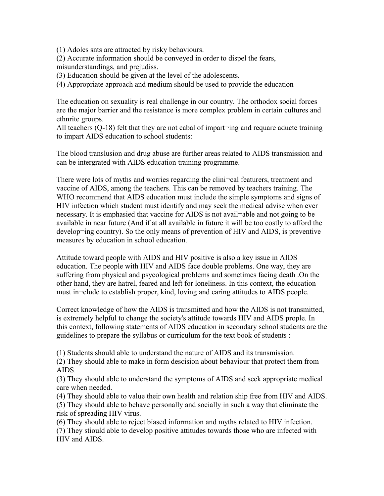(1) Adoles snts are attracted by risky behaviours.

(2) Accurate information should be conveyed in order to dispel the fears, misunderstandings, and prejudiss.

(3) Education should be given at the level of the adolescents.

(4) Appropriate approach and medium should be used to provide the education

The education on sexuality is real challenge in our country. The orthodox social forces are the major barrier and the resistance is more complex problem in certain cultures and ethnrite groups.

All teachers (Q-18) felt that they are not cabal of impart-ing and requare aducte training to impart AIDS education to school students:

The blood translusion and drug abuse are further areas related to AIDS transmission and can be intergrated with AIDS education training programme.

There were lots of myths and worries regarding the clini¬cal featurers, treatment and vaccine of AIDS, among the teachers. This can be removed by teachers training. The WHO recommend that AIDS education must include the simple symptoms and signs of HIV infection which student must identify and may seek the medical advise when ever necessary. It is emphasied that vaccine for AIDS is not avail¬able and not going to be available in near future (And if at all available in future it will be too costly to afford the develop¬ing country). So the only means of prevention of HIV and AIDS, is preventive measures by education in school education.

Attitude toward people with AIDS and HIV positive is also a key issue in AIDS education. The people with HIV and AIDS face double problems. One way, they are suffering from physical and psycological problems and sometimes facing death .On the other hand, they are hatrel, feared and left for loneliness. In this context, the education must in¬clude to establish proper, kind, loving and caring attitudes to AIDS people.

Correct knowledge of how the AIDS is transmitted and how the AIDS is not transmitted, is extremely helpful to change the society's attitude towards HIV and AIDS prople. In this context, following statements of AIDS education in secondary school students are the guidelines to prepare the syllabus or curriculum for the text book of students :

(1) Students should able to understand the nature of AIDS and its transmission.

(2) They should able to make in form descision about behaviour that protect them from AIDS.

(3) They should able to understand the symptoms of AIDS and seek appropriate medical care when needed.

(4) They should able to value their own health and relation ship free from HIV and AIDS. (5) They should able to behave personally and socially in such a way that eliminate the risk of spreading HIV virus.

(6) They should able to reject biased information and myths related to HIV infection.

(7) They stiould able to develop positive attitudes towards those who are infected with HIV and AIDS.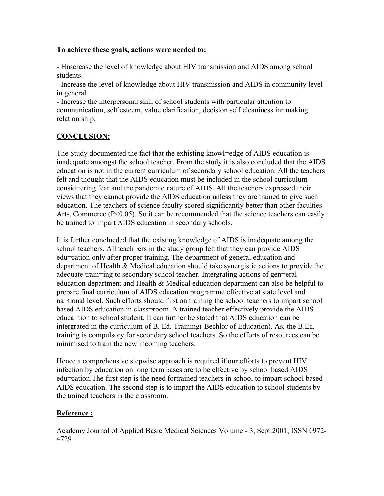## **To achieve these goals, actions were needed to:**

- Hnscrease the level of knowledge about HIV transmission and AIDS among school students.

- Increase the level of knowledge about HIV transmission and AIDS in community level in general.

- Increase the interpersonal skill of school students with particular attention to communication, self esteem, value clarification, decision self cleaniness inr making relation ship.

# **CONCLUSION:**

The Study documented the fact that the exhisting knowl-edge of AIDS education is inadequate amongst the school teacher. From the study it is also concluded that the AIDS education is not in the current curriculum of secondary school education. All the teachers felt and thought that the AIDS education must be included in the school curriculum consid¬ering fear and the pandemic nature of AIDS. All the teachers expressed their views that they cannot provide the AIDS education unless they are trained to give such education. The teachers of science faculty scored significantly better than other faculties Arts, Commerce (P<0.05). So it can be recommended that the science teachers can easily be trained to impart AIDS education in secondary schools.

It is further conclucded that the existing knowledge of AIDS is inadequate among the school teachers. All teach-ers in the study group felt that they can provide AIDS edu¬cation only after proper training. The department of general education and department of Health & Medical education should take synergistic actions to provide the adequate train¬ing to secondary school teacher. Intergrating actions of gen¬eral education department and Health & Medical education department can also be helpful to prepare final curriculum of AIDS education programme effective at state level and na¬tional level. Such efforts should first on training the school teachers to impart school based AIDS education in class-room. A trained teacher effectively provide the AIDS educa¬tion to school student. It can further be stated that AIDS education can be intergrated in the curriculum of B. Ed. Training( Bechlor of Education). As, the B.Ed, training is compulsory for secondary school teachers. So the efforts of resources can be minimised to train the new incoming teachers.

Hence a comprehensive stepwise approach is required if our efforts to prevent HIV infection by education on long term bases are to be effective by school based AIDS edu¬cation.The first step is the need fortrained teachers in school to impart school based AIDS education. The second step is to impart the AIDS education to school students by the trained teachers in the classroom.

## **Reference :**

Academy Journal of Applied Basic Medical Sciences Volume - 3, Sept.2001, ISSN 0972- 4729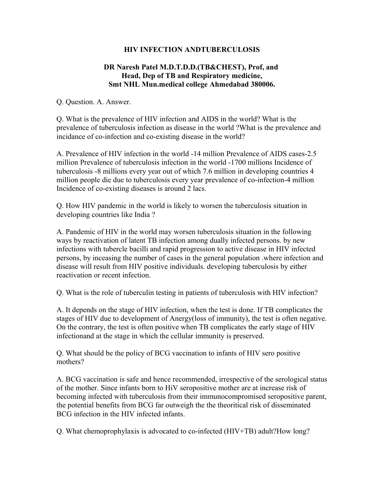## **HIV INFECTION ANDTUBERCULOSIS**

## **DR Naresh Patel M.D.T.D.D.(TB&CHEST), Prof, and Head, Dep of TB and Respiratory medicine, Smt NHL Mun.medical college Ahmedabad 380006.**

Q. Question. A. Answer.

Q. What is the prevalence of HIV infection and AIDS in the world? What is the prevalence of tuberculosis infection as disease in the world ?What is the prevalence and incidance of co-infection and co-existing disease in the world?

A. Prevalence of HIV infection in the world -14 million Prevalence of AIDS cases-2.5 million Prevalence of tuberculosis infection in the world -1700 millions Incidence of tuberculosis -8 millions every year out of which 7.6 million in developing countries 4 million people die due to tuberculosis every year prevalence of co-infection-4 million Incidence of co-existing diseases is around 2 lacs.

Q. How HIV pandemic in the world is likely to worsen the tuberculosis situation in developing countries like India ?

A. Pandemic of HIV in the world may worsen tuberculosis situation in the following ways by reactivation of latent TB infection among dually infected persons. by new infections with tubercle bacilli and rapid progression to active disease in HIV infected persons, by inceasing the number of cases in the general population .where infection and disease will result from HIV positive individuals. developing tuberculosis by either reactivation or recent infection.

Q. What is the role of tuberculin testing in patients of tuberculosis with HIV infection?

A. It depends on the stage of HIV infection, when the test is done. If TB complicates the stages of HIV due to development of Anergy(loss of immunity), the test is often negative. On the contrary, the test is often positive when TB complicates the early stage of HIV infectionand at the stage in which the cellular immunity is preserved.

Q. What should be the policy of BCG vaccination to infants of HIV sero positive mothers?

A. BCG vaccination is safe and hence recommended, irrespective of the serological status of the mother. Since infants born to HiV seropositive mother are at increase risk of becoming infected with tuberculosis from their immunocompromised seropositive parent, the potential benefits from BCG far outweigh the the theoritical risk of disseminated BCG infection in the HIV infected infants.

Q. What chemoprophylaxis is advocated to co-infected (HIV+TB) adult?How long?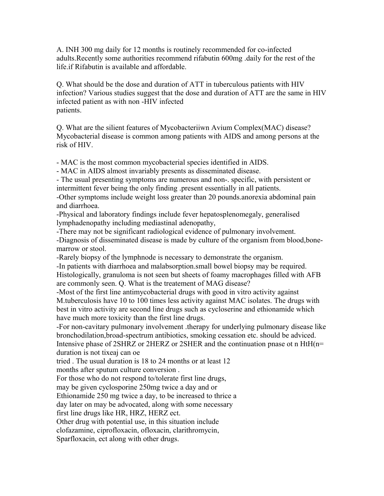A. INH 300 mg daily for 12 months is routinely recommended for co-infected adults.Recently some authorities recommend rifabutin 600mg .daily for the rest of the life.if Rifabutin is available and affordable.

Q. What should be the dose and duration of ATT in tuberculous patients with HIV infection? Various studies suggest that the dose and duration of ATT are the same in HIV infected patient as with non -HIV infected patients.

Q. What are the silient features of Mycobacteriiwn Avium Complex(MAC) disease? Mycobacterial disease is common among patients with AIDS and among persons at the risk of HIV.

- MAC is the most common mycobacterial species identified in AIDS.

- MAC in AIDS almost invariably presents as disseminated disease.

- The usual presenting symptoms are numerous and non-. specific, with persistent or intermittent fever being the only finding .present essentially in all patients.

-Other symptoms include weight loss greater than 20 pounds.anorexia abdominal pain and diarrhoea.

-Physical and laboratory findings include fever hepatosplenomegaly, generalised lymphadenopathy including mediastinal adenopathy,

-There may not be significant radiological evidence of pulmonary involvement. -Diagnosis of disseminated disease is made by culture of the organism from blood,bonemarrow or stool.

-Rarely biopsy of the lymphnode is necessary to demonstrate the organism.

-In patients with diarrhoea and malabsorption.small bowel biopsy may be required. Histologically, granuloma is not seen but sheets of foamy macrophages filled with AFB are commonly seen. Q. What is the treatement of MAG disease?

-Most of the first line antimycobacterial drugs with good in vitro activity against M.tuberculosis have 10 to 100 times less activity against MAC isolates. The drugs with best in vitro activity are second line drugs such as cycloserine and ethionamide which have much more toxicity than the first line drugs.

-For non-cavitary pulmonary involvement .therapy for underlying pulmonary disease like bronchodilation,broad-spectrum antibiotics, smoking cessation etc. should be adviced. Intensive phase of 2SHRZ or 2HERZ or 2SHER and the continuation pnase ot n HtH(n= duration is not tixeaj can oe

tried . The usual duration is 18 to 24 months or at least 12

months after sputum culture conversion .

For those who do not respond to/tolerate first line drugs,

may be given cyclosporine 250mg twice a day and or

Ethionamide 250 mg twice a day, to be increased to thrice a

day later on may be advocated, along with some necessary

first line drugs like HR, HRZ, HERZ ect.

Other drug with potential use, in this situation include

clofazamine, ciprofloxacin, ofloxacin, clarithromycin,

Sparfloxacin, ect along with other drugs.